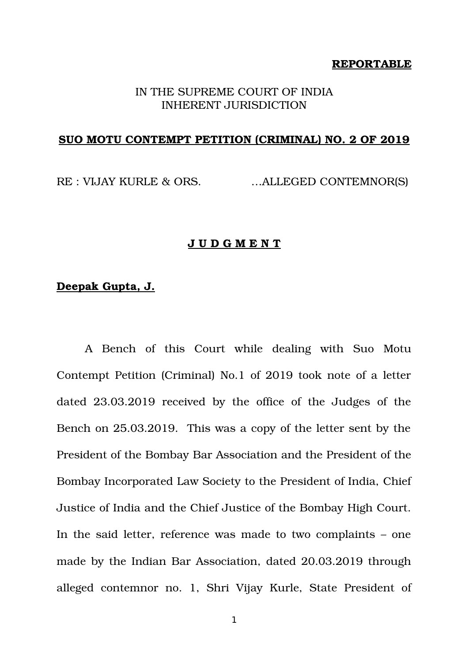### **REPORTABLE**

### IN THE SUPREME COURT OF INDIA INHERENT JURISDICTION

### **SUO MOTU CONTEMPT PETITION (CRIMINAL) NO. 2 OF 2019**

RE : VIJAY KURLE & ORS. ...ALLEGED CONTEMNOR(S)

### **J U D G M E N T**

### **Deepak Gupta, J.**

A Bench of this Court while dealing with Suo Motu Contempt Petition (Criminal) No.1 of 2019 took note of a letter dated 23.03.2019 received by the office of the Judges of the Bench on 25.03.2019. This was a copy of the letter sent by the President of the Bombay Bar Association and the President of the Bombay Incorporated Law Society to the President of India, Chief Justice of India and the Chief Justice of the Bombay High Court. In the said letter, reference was made to two complaints – one made by the Indian Bar Association, dated 20.03.2019 through alleged contemnor no. 1, Shri Vijay Kurle, State President of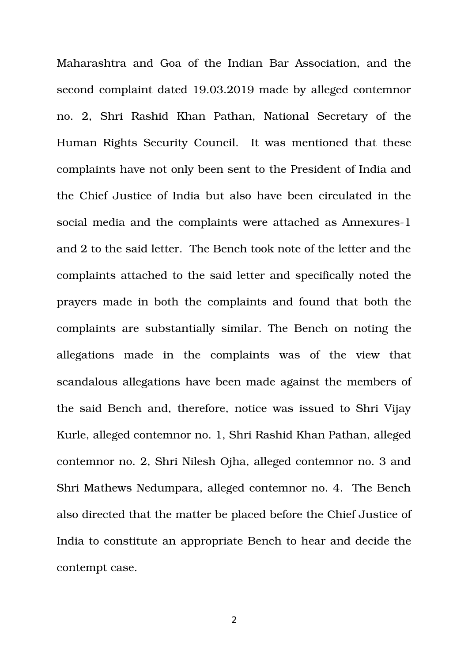Maharashtra and Goa of the Indian Bar Association, and the second complaint dated 19.03.2019 made by alleged contemnor no. 2. Shri Rashid Khan Pathan, National Secretary of the Human Rights Security Council. It was mentioned that these complaints have not only been sent to the President of India and the Chief Justice of India but also have been circulated in the social media and the complaints were attached as Annexures-1 and 2 to the said letter. The Bench took note of the letter and the complaints attached to the said letter and specifically noted the prayers made in both the complaints and found that both the complaints are substantially similar. The Bench on noting the allegations made in the complaints was of the view that scandalous allegations have been made against the members of the said Bench and, therefore, notice was issued to Shri Vijay Kurle, alleged contemnor no. 1, Shri Rashid Khan Pathan, alleged contemnor no. 2, Shri Nilesh Ojha, alleged contemnor no. 3 and Shri Mathews Nedumpara, alleged contemnor no. 4. The Bench also directed that the matter be placed before the Chief Justice of India to constitute an appropriate Bench to hear and decide the contempt case.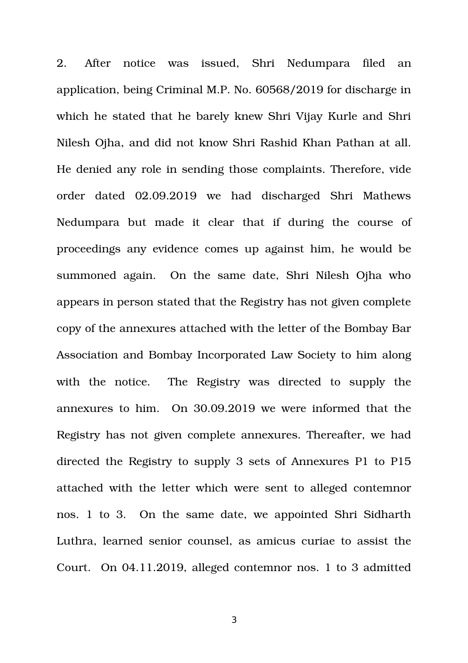2. After notice was issued, Shri Nedumpara filed an application, being Criminal M.P. No. 60568/2019 for discharge in which he stated that he barely knew Shri Vijay Kurle and Shri Nilesh Ojha, and did not know Shri Rashid Khan Pathan at all. He denied any role in sending those complaints. Therefore, vide order dated 02.09.2019 we had discharged Shri Mathews Nedumpara but made it clear that if during the course of proceedings any evidence comes up against him, he would be summoned again. On the same date, Shri Nilesh Ojha who appears in person stated that the Registry has not given complete copy of the annexures attached with the letter of the Bombay Bar Association and Bombay Incorporated Law Society to him along with the notice. The Registry was directed to supply the annexures to him. On 30.09.2019 we were informed that the Registry has not given complete annexures. Thereafter, we had directed the Registry to supply 3 sets of Annexures P1 to P15 attached with the letter which were sent to alleged contemnor nos. 1 to 3. On the same date, we appointed Shri Sidharth Luthra, learned senior counsel, as amicus curiae to assist the Court. On 04.11.2019, alleged contemnor nos. 1 to 3 admitted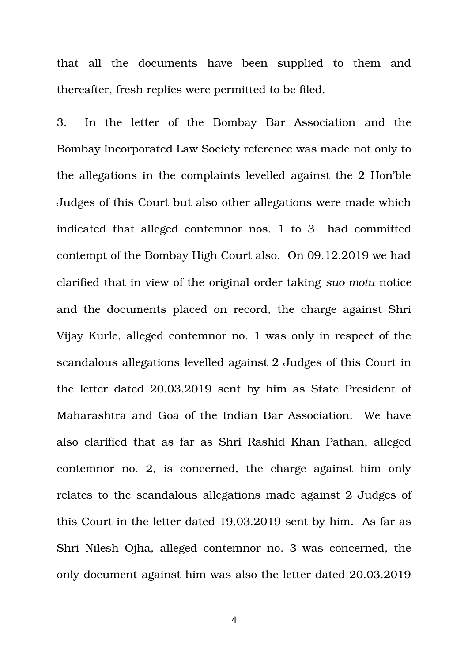that all the documents have been supplied to them and thereafter, fresh replies were permitted to be filed.

3. In the letter of the Bombay Bar Association and the Bombay Incorporated Law Society reference was made not only to the allegations in the complaints levelled against the 2 Hon'ble Judges of this Court but also other allegations were made which indicated that alleged contemnor nos. 1 to 3 had committed contempt of the Bombay High Court also. On 09.12.2019 we had clarified that in view of the original order taking *suo motu* notice and the documents placed on record, the charge against Shri Vijay Kurle, alleged contemnor no. 1 was only in respect of the scandalous allegations levelled against 2 Judges of this Court in the letter dated 20.03.2019 sent by him as State President of Maharashtra and Goa of the Indian Bar Association. We have also clarified that as far as Shri Rashid Khan Pathan, alleged contemnor no. 2, is concerned, the charge against him only relates to the scandalous allegations made against 2 Judges of this Court in the letter dated 19.03.2019 sent by him. As far as Shri Nilesh Ojha, alleged contemnor no. 3 was concerned, the only document against him was also the letter dated 20.03.2019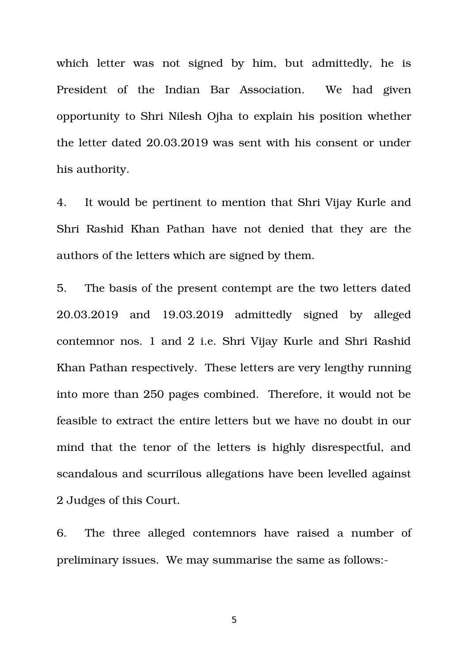which letter was not signed by him, but admittedly, he is President of the Indian Bar Association. We had given opportunity to Shri Nilesh Ojha to explain his position whether the letter dated 20.03.2019 was sent with his consent or under his authority.

4. It would be pertinent to mention that Shri Vijay Kurle and Shri Rashid Khan Pathan have not denied that they are the authors of the letters which are signed by them.

5. The basis of the present contempt are the two letters dated 20.03.2019 and 19.03.2019 admittedly signed by alleged contemnor nos. 1 and 2 i.e. Shri Vijay Kurle and Shri Rashid Khan Pathan respectively. These letters are very lengthy running into more than 250 pages combined. Therefore, it would not be feasible to extract the entire letters but we have no doubt in our mind that the tenor of the letters is highly disrespectful, and scandalous and scurrilous allegations have been levelled against 2 Judges of this Court.

6. The three alleged contemnors have raised a number of preliminary issues. We may summarise the same as follows: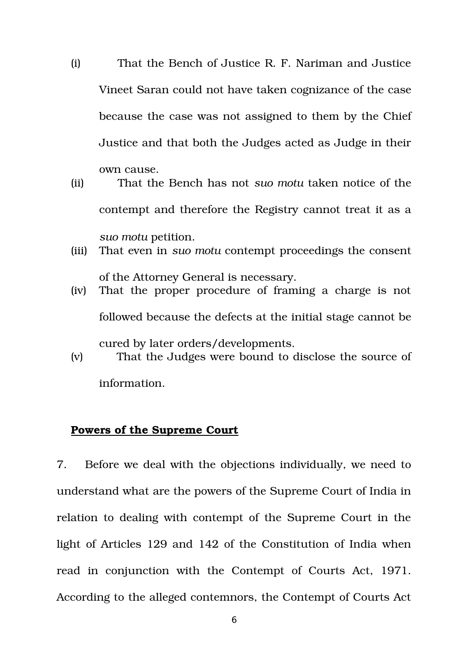- (i) That the Bench of Justice R. F. Nariman and Justice Vineet Saran could not have taken cognizance of the case because the case was not assigned to them by the Chief Justice and that both the Judges acted as Judge in their own cause.
- (ii) That the Bench has not *suo motu* taken notice of the contempt and therefore the Registry cannot treat it as a *suo motu* petition.
- (iii) That even in *suo motu* contempt proceedings the consent
- of the Attorney General is necessary. (iv) That the proper procedure of framing a charge is not followed because the defects at the initial stage cannot be cured by later orders/developments.
- (v) That the Judges were bound to disclose the source of

information.

# **Powers of the Supreme Court**

7. Before we deal with the objections individually, we need to understand what are the powers of the Supreme Court of India in relation to dealing with contempt of the Supreme Court in the light of Articles 129 and 142 of the Constitution of India when read in conjunction with the Contempt of Courts Act, 1971. According to the alleged contemnors, the Contempt of Courts Act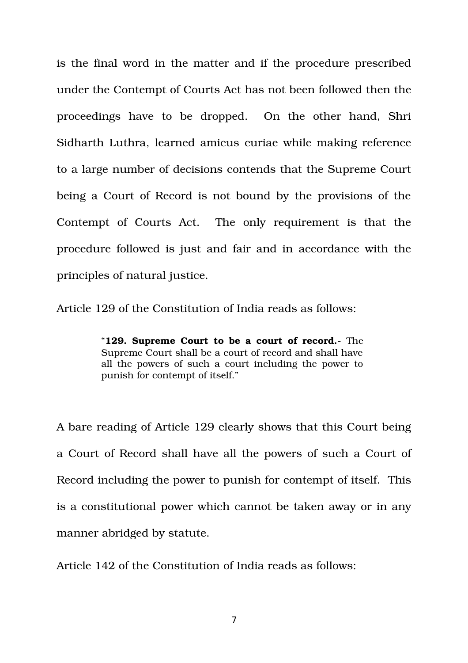is the final word in the matter and if the procedure prescribed under the Contempt of Courts Act has not been followed then the proceedings have to be dropped. On the other hand, Shri Sidharth Luthra, learned amicus curiae while making reference to a large number of decisions contends that the Supreme Court being a Court of Record is not bound by the provisions of the Contempt of Courts Act. The only requirement is that the procedure followed is just and fair and in accordance with the principles of natural justice.

Article 129 of the Constitution of India reads as follows:

"**129. Supreme Court to be a court of record.** The Supreme Court shall be a court of record and shall have all the powers of such a court including the power to punish for contempt of itself."

A bare reading of Article 129 clearly shows that this Court being a Court of Record shall have all the powers of such a Court of Record including the power to punish for contempt of itself. This is a constitutional power which cannot be taken away or in any manner abridged by statute.

Article 142 of the Constitution of India reads as follows: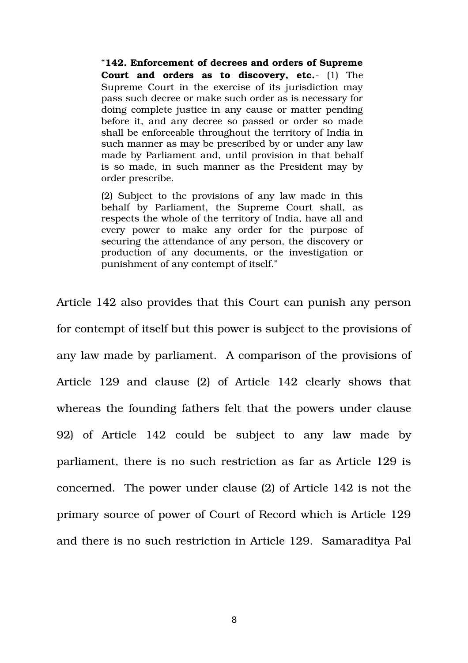"**142. Enforcement of decrees and orders of Supreme Court and orders as to discovery, etc.**- (1) The Supreme Court in the exercise of its jurisdiction may pass such decree or make such order as is necessary for doing complete justice in any cause or matter pending before it, and any decree so passed or order so made shall be enforceable throughout the territory of India in such manner as may be prescribed by or under any law made by Parliament and, until provision in that behalf is so made, in such manner as the President may by order prescribe.

(2) Subject to the provisions of any law made in this behalf by Parliament, the Supreme Court shall, as respects the whole of the territory of India, have all and every power to make any order for the purpose of securing the attendance of any person, the discovery or production of any documents, or the investigation or punishment of any contempt of itself."

Article 142 also provides that this Court can punish any person for contempt of itself but this power is subject to the provisions of any law made by parliament. A comparison of the provisions of Article 129 and clause (2) of Article 142 clearly shows that whereas the founding fathers felt that the powers under clause 92) of Article 142 could be subject to any law made by parliament, there is no such restriction as far as Article 129 is concerned. The power under clause (2) of Article 142 is not the primary source of power of Court of Record which is Article 129 and there is no such restriction in Article 129. Samaraditya Pal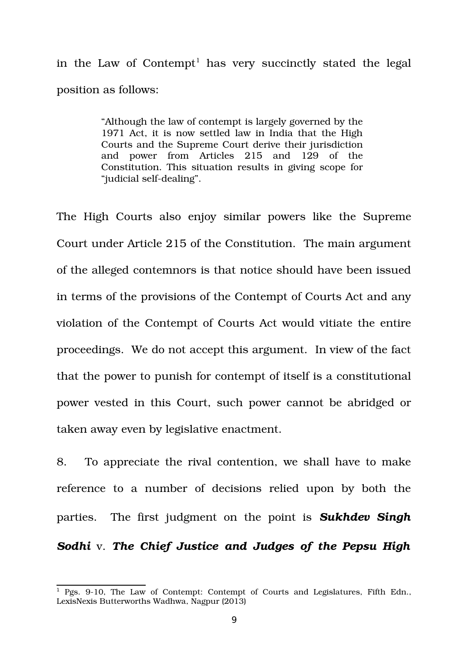in the Law of Contempt<sup>[1](#page-8-0)</sup> has very succinctly stated the legal position as follows:

> "Although the law of contempt is largely governed by the 1971 Act, it is now settled law in India that the High Courts and the Supreme Court derive their jurisdiction and power from Articles 215 and 129 of the Constitution. This situation results in giving scope for "judicial self-dealing".

The High Courts also enjoy similar powers like the Supreme Court under Article 215 of the Constitution. The main argument of the alleged contemnors is that notice should have been issued in terms of the provisions of the Contempt of Courts Act and any violation of the Contempt of Courts Act would vitiate the entire proceedings. We do not accept this argument. In view of the fact that the power to punish for contempt of itself is a constitutional power vested in this Court, such power cannot be abridged or taken away even by legislative enactment.

8. To appreciate the rival contention, we shall have to make reference to a number of decisions relied upon by both the parties. The first judgment on the point is *Sukhdev Singh Sodhi* v. *The Chief Justice and Judges of the Pepsu High*

<span id="page-8-0"></span> $1$  Pgs. 9-10, The Law of Contempt: Contempt of Courts and Legislatures, Fifth Edn., LexisNexis Butterworths Wadhwa, Nagpur (2013)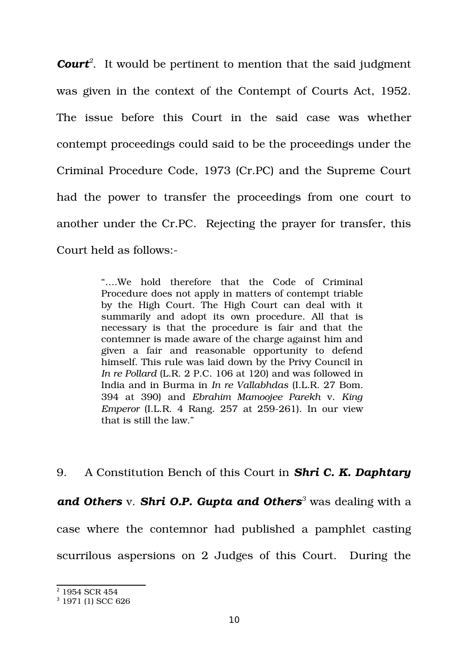*Court[2](#page-9-0)* . It would be pertinent to mention that the said judgment was given in the context of the Contempt of Courts Act, 1952. The issue before this Court in the said case was whether contempt proceedings could said to be the proceedings under the Criminal Procedure Code, 1973 (Cr.PC) and the Supreme Court had the power to transfer the proceedings from one court to another under the Cr.PC. Rejecting the prayer for transfer, this Court held as follows:

> "....We hold therefore that the Code of Criminal Procedure does not apply in matters of contempt triable by the High Court. The High Court can deal with it summarily and adopt its own procedure. All that is necessary is that the procedure is fair and that the contemner is made aware of the charge against him and given a fair and reasonable opportunity to defend himself. This rule was laid down by the Privy Council in *In re Pollard* (L.R. 2 P.C. 106 at 120) and was followed in India and in Burma in *In re Vallabhdas* (I.L.R. 27 Bom. 394 at 390) and *Ebrahim Mamoojee Parekh* v. *King Emperor* (I.L.R. 4 Rang. 257 at 259-261). In our view that is still the law."

9. A Constitution Bench of this Court in *Shri C. K. Daphtary and Others* v. *Shri O.P. Gupta and Others[3](#page-9-1)* was dealing with a case where the contemnor had published a pamphlet casting scurrilous aspersions on 2 Judges of this Court. During the

<span id="page-9-0"></span><sup>2</sup> 1954 SCR 454

<span id="page-9-1"></span><sup>3</sup> 1971 (1) SCC 626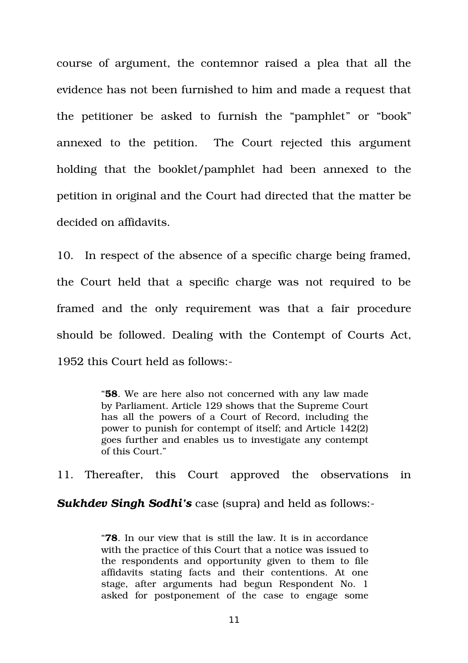course of argument, the contemnor raised a plea that all the evidence has not been furnished to him and made a request that the petitioner be asked to furnish the "pamphlet" or "book" annexed to the petition. The Court rejected this argument holding that the booklet/pamphlet had been annexed to the petition in original and the Court had directed that the matter be decided on affidavits.

10. In respect of the absence of a specific charge being framed, the Court held that a specific charge was not required to be framed and the only requirement was that a fair procedure should be followed. Dealing with the Contempt of Courts Act, 1952 this Court held as follows:

> "**58**. We are here also not concerned with any law made by Parliament. Article 129 shows that the Supreme Court has all the powers of a Court of Record, including the power to punish for contempt of itself; and Article 142(2) goes further and enables us to investigate any contempt of this Court."

11. Thereafter, this Court approved the observations in

*Sukhdev Singh Sodhi's* case (supra) and held as follows:

"**78**. In our view that is still the law. It is in accordance with the practice of this Court that a notice was issued to the respondents and opportunity given to them to file affidavits stating facts and their contentions. At one stage, after arguments had begun Respondent No. 1 asked for postponement of the case to engage some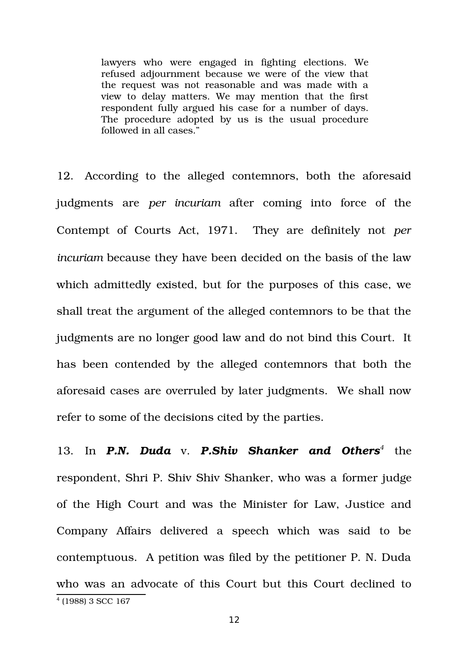lawyers who were engaged in fighting elections. We refused adjournment because we were of the view that the request was not reasonable and was made with a view to delay matters. We may mention that the first respondent fully argued his case for a number of days. The procedure adopted by us is the usual procedure followed in all cases."

12. According to the alleged contemnors, both the aforesaid judgments are *per incuriam* after coming into force of the Contempt of Courts Act, 1971. They are definitely not *per incuriam* because they have been decided on the basis of the law which admittedly existed, but for the purposes of this case, we shall treat the argument of the alleged contemnors to be that the judgments are no longer good law and do not bind this Court. It has been contended by the alleged contemnors that both the aforesaid cases are overruled by later judgments. We shall now refer to some of the decisions cited by the parties.

<span id="page-11-0"></span>13. In **P.N. Duda** v. **P.Shiv Shanker and Others<sup>[4](#page-11-0)</sup> the** respondent, Shri P. Shiv Shiv Shanker, who was a former judge of the High Court and was the Minister for Law, Justice and Company Affairs delivered a speech which was said to be contemptuous. A petition was filed by the petitioner P. N. Duda who was an advocate of this Court but this Court declined to 4 (1988) 3 SCC 167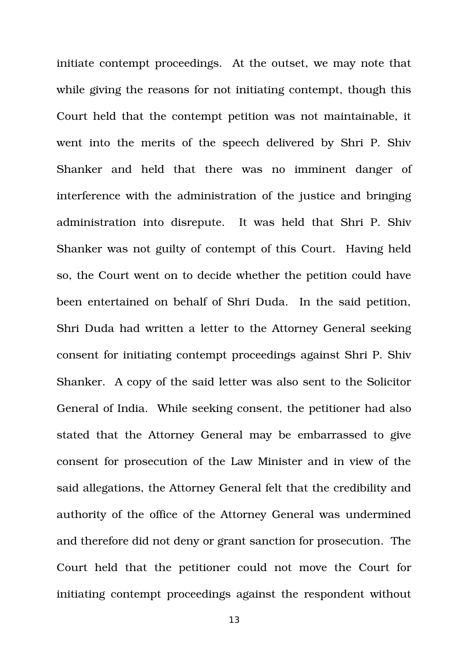initiate contempt proceedings. At the outset, we may note that while giving the reasons for not initiating contempt, though this Court held that the contempt petition was not maintainable, it went into the merits of the speech delivered by Shri P. Shiv Shanker and held that there was no imminent danger of interference with the administration of the justice and bringing administration into disrepute. It was held that Shri P. Shiv Shanker was not guilty of contempt of this Court. Having held so, the Court went on to decide whether the petition could have been entertained on behalf of Shri Duda. In the said petition, Shri Duda had written a letter to the Attorney General seeking consent for initiating contempt proceedings against Shri P. Shiv Shanker. A copy of the said letter was also sent to the Solicitor General of India. While seeking consent, the petitioner had also stated that the Attorney General may be embarrassed to give consent for prosecution of the Law Minister and in view of the said allegations, the Attorney General felt that the credibility and authority of the office of the Attorney General was undermined and therefore did not deny or grant sanction for prosecution. The Court held that the petitioner could not move the Court for initiating contempt proceedings against the respondent without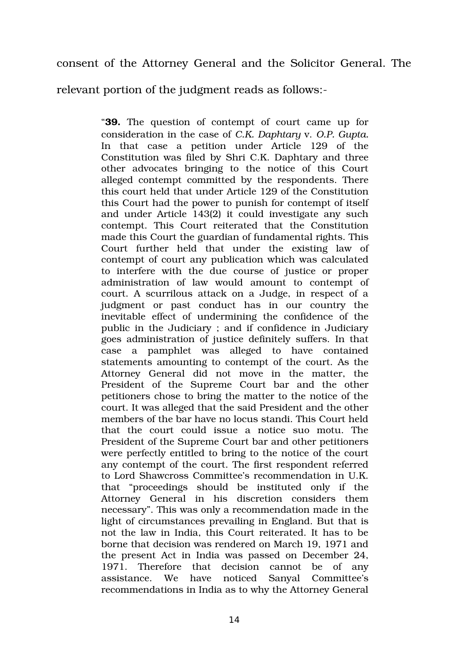consent of the Attorney General and the Solicitor General. The

relevant portion of the judgment reads as follows:

"**39.** The question of contempt of court came up for consideration in the case of *C.K. Daphtary* v. *O.P. Gupta.* In that case a petition under Article 129 of the Constitution was filed by Shri C.K. Daphtary and three other advocates bringing to the notice of this Court alleged contempt committed by the respondents. There this court held that under Article 129 of the Constitution this Court had the power to punish for contempt of itself and under Article 143(2) it could investigate any such contempt. This Court reiterated that the Constitution made this Court the guardian of fundamental rights. This Court further held that under the existing law of contempt of court any publication which was calculated to interfere with the due course of justice or proper administration of law would amount to contempt of court. A scurrilous attack on a Judge, in respect of a judgment or past conduct has in our country the inevitable effect of undermining the confidence of the public in the Judiciary ; and if confidence in Judiciary goes administration of justice definitely suffers. In that case a pamphlet was alleged to have contained statements amounting to contempt of the court. As the Attorney General did not move in the matter, the President of the Supreme Court bar and the other petitioners chose to bring the matter to the notice of the court. It was alleged that the said President and the other members of the bar have no locus standi. This Court held that the court could issue a notice suo motu. The President of the Supreme Court bar and other petitioners were perfectly entitled to bring to the notice of the court any contempt of the court. The first respondent referred to Lord Shawcross Committee's recommendation in U.K. that "proceedings should be instituted only if the Attorney General in his discretion considers them necessary". This was only a recommendation made in the light of circumstances prevailing in England. But that is not the law in India, this Court reiterated. It has to be borne that decision was rendered on March 19, 1971 and the present Act in India was passed on December 24, 1971. Therefore that decision cannot be of any assistance. We have noticed Sanyal Committee's recommendations in India as to why the Attorney General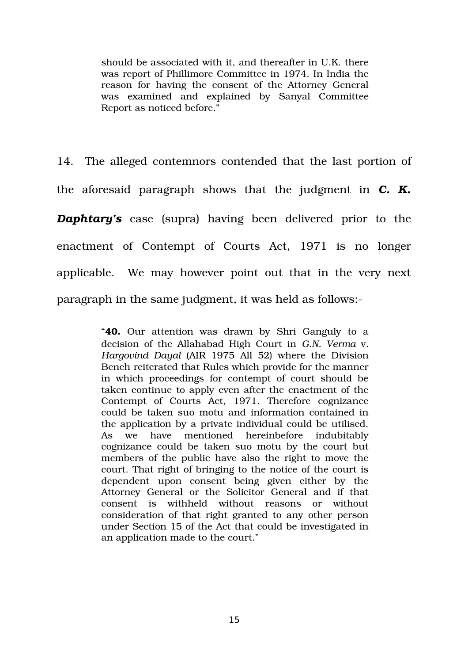should be associated with it, and thereafter in U.K. there was report of Phillimore Committee in 1974. In India the reason for having the consent of the Attorney General was examined and explained by Sanyal Committee Report as noticed before."

14. The alleged contemnors contended that the last portion of the aforesaid paragraph shows that the judgment in C. K. *Daphtary's* case (supra) having been delivered prior to the enactment of Contempt of Courts Act, 1971 is no longer applicable. We may however point out that in the very next paragraph in the same judgment, it was held as follows:

> "**40.** Our attention was drawn by Shri Ganguly to a decision of the Allahabad High Court in *G.N. Verma* v. *Hargovind Dayal* (AIR 1975 All 52) where the Division Bench reiterated that Rules which provide for the manner in which proceedings for contempt of court should be taken continue to apply even after the enactment of the Contempt of Courts Act, 1971. Therefore cognizance could be taken suo motu and information contained in the application by a private individual could be utilised. As we have mentioned hereinbefore indubitably cognizance could be taken suo motu by the court but members of the public have also the right to move the court. That right of bringing to the notice of the court is dependent upon consent being given either by the Attorney General or the Solicitor General and if that consent is withheld without reasons or without consideration of that right granted to any other person under Section 15 of the Act that could be investigated in an application made to the court."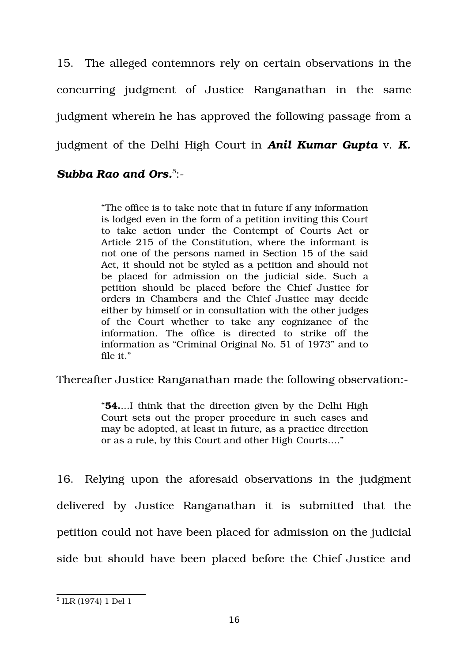15. The alleged contemnors rely on certain observations in the concurring judgment of Justice Ranganathan in the same judgment wherein he has approved the following passage from a judgment of the Delhi High Court in *Anil Kumar Gupta* v. *K.*

# *Subba Rao and Ors.[5](#page-15-0)* :

"The office is to take note that in future if any information is lodged even in the form of a petition inviting this Court to take action under the Contempt of Courts Act or Article 215 of the Constitution, where the informant is not one of the persons named in Section 15 of the said Act, it should not be styled as a petition and should not be placed for admission on the judicial side. Such a petition should be placed before the Chief Justice for orders in Chambers and the Chief Justice may decide either by himself or in consultation with the other judges of the Court whether to take any cognizance of the information. The office is directed to strike off the information as "Criminal Original No. 51 of 1973" and to file it."

Thereafter Justice Ranganathan made the following observation:

"**54.**...I think that the direction given by the Delhi High Court sets out the proper procedure in such cases and may be adopted, at least in future, as a practice direction or as a rule, by this Court and other High Courts…."

16. Relying upon the aforesaid observations in the judgment delivered by Justice Ranganathan it is submitted that the petition could not have been placed for admission on the judicial side but should have been placed before the Chief Justice and

<span id="page-15-0"></span><sup>5</sup> ILR (1974) 1 Del 1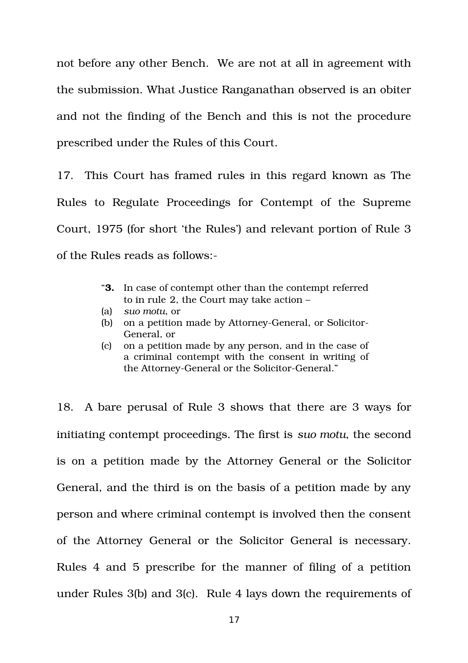not before any other Bench. We are not at all in agreement with the submission. What Justice Ranganathan observed is an obiter and not the finding of the Bench and this is not the procedure prescribed under the Rules of this Court.

17. This Court has framed rules in this regard known as The Rules to Regulate Proceedings for Contempt of the Supreme Court, 1975 (for short 'the Rules') and relevant portion of Rule 3 of the Rules reads as follows:

- "**3.** In case of contempt other than the contempt referred to in rule 2, the Court may take action –
- (a) *suo motu*, or
- (b) on a petition made by Attorney-General, or Solicitor-General, or
- (c) on a petition made by any person, and in the case of a criminal contempt with the consent in writing of the Attorney-General or the Solicitor-General."

18. A bare perusal of Rule 3 shows that there are 3 ways for initiating contempt proceedings. The first is *suo motu*, the second is on a petition made by the Attorney General or the Solicitor General, and the third is on the basis of a petition made by any person and where criminal contempt is involved then the consent of the Attorney General or the Solicitor General is necessary. Rules 4 and 5 prescribe for the manner of filing of a petition under Rules 3(b) and 3(c). Rule 4 lays down the requirements of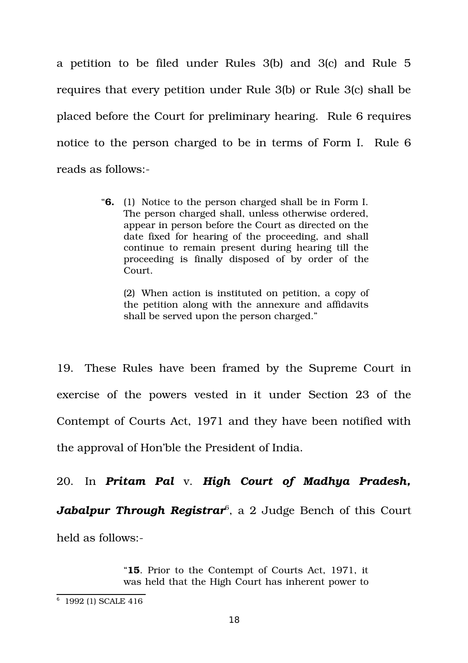a petition to be filed under Rules  $3(b)$  and  $3(c)$  and Rule  $5$ requires that every petition under Rule 3(b) or Rule 3(c) shall be placed before the Court for preliminary hearing. Rule 6 requires notice to the person charged to be in terms of Form I. Rule 6 reads as follows:

> "**6.** (1) Notice to the person charged shall be in Form I. The person charged shall, unless otherwise ordered, appear in person before the Court as directed on the date fixed for hearing of the proceeding, and shall continue to remain present during hearing till the proceeding is finally disposed of by order of the Court.

(2) When action is instituted on petition, a copy of the petition along with the annexure and affidavits shall be served upon the person charged."

19. These Rules have been framed by the Supreme Court in exercise of the powers vested in it under Section 23 of the Contempt of Courts Act, 1971 and they have been notified with the approval of Hon'ble the President of India.

20. In *Pritam Pal* v. *High Court of Madhya Pradesh, Jabalpur Through Registrar*[6](#page-17-0) , a 2 Judge Bench of this Court held as follows:

> "**15**. Prior to the Contempt of Courts Act, 1971, it was held that the High Court has inherent power to

<span id="page-17-0"></span><sup>6</sup> 1992 (1) SCALE 416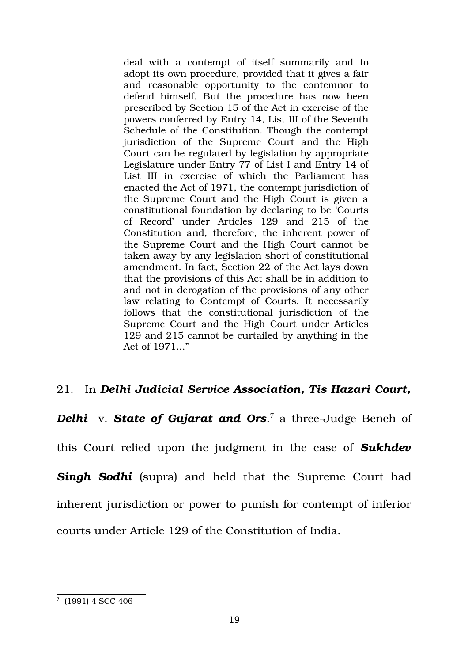deal with a contempt of itself summarily and to adopt its own procedure, provided that it gives a fair and reasonable opportunity to the contemnor to defend himself. But the procedure has now been prescribed by Section 15 of the Act in exercise of the powers conferred by Entry 14, List III of the Seventh Schedule of the Constitution. Though the contempt jurisdiction of the Supreme Court and the High Court can be regulated by legislation by appropriate Legislature under Entry 77 of List I and Entry 14 of List III in exercise of which the Parliament has enacted the Act of 1971, the contempt jurisdiction of the Supreme Court and the High Court is given a constitutional foundation by declaring to be 'Courts of Record' under Articles 129 and 215 of the Constitution and, therefore, the inherent power of the Supreme Court and the High Court cannot be taken away by any legislation short of constitutional amendment. In fact, Section 22 of the Act lays down that the provisions of this Act shall be in addition to and not in derogation of the provisions of any other law relating to Contempt of Courts. It necessarily follows that the constitutional jurisdiction of the Supreme Court and the High Court under Articles 129 and 215 cannot be curtailed by anything in the Act of 1971..."

# 21. In *Delhi Judicial Service Association, Tis Hazari Court,*

*Delhi* v. *State of Gujarat and Ors.<sup>[7](#page-18-0)</sup> a three-Judge Bench of* 

this Court relied upon the judgment in the case of *Sukhdev* **Singh Sodhi** (supra) and held that the Supreme Court had inherent jurisdiction or power to punish for contempt of inferior courts under Article 129 of the Constitution of India.

<span id="page-18-0"></span><sup>7</sup> (1991) 4 SCC 406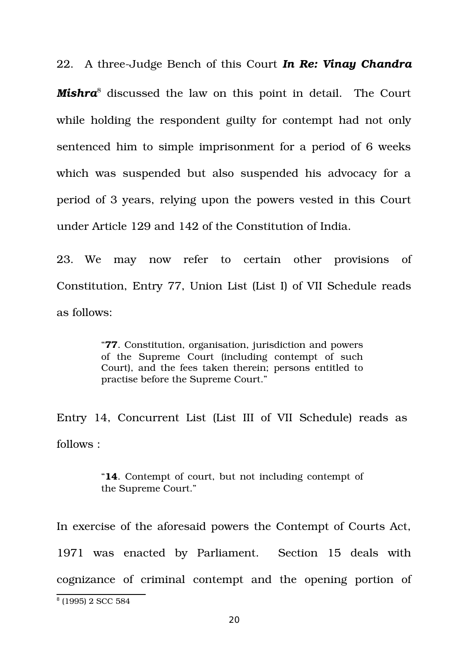22. A threeJudge Bench of this Court *In Re: Vinay Chandra Mishra*[8](#page-19-0) discussed the law on this point in detail. The Court while holding the respondent guilty for contempt had not only sentenced him to simple imprisonment for a period of 6 weeks which was suspended but also suspended his advocacy for a period of 3 years, relying upon the powers vested in this Court under Article 129 and 142 of the Constitution of India.

23. We may now refer to certain other provisions of Constitution, Entry 77, Union List (List I) of VII Schedule reads as follows:

> "**77**. Constitution, organisation, jurisdiction and powers of the Supreme Court (including contempt of such Court), and the fees taken therein; persons entitled to practise before the Supreme Court."

Entry 14, Concurrent List (List III of VII Schedule) reads as follows :

> "**14**. Contempt of court, but not including contempt of the Supreme Court."

In exercise of the aforesaid powers the Contempt of Courts Act, 1971 was enacted by Parliament. Section 15 deals with cognizance of criminal contempt and the opening portion of

<span id="page-19-0"></span><sup>8</sup> (1995) 2 SCC 584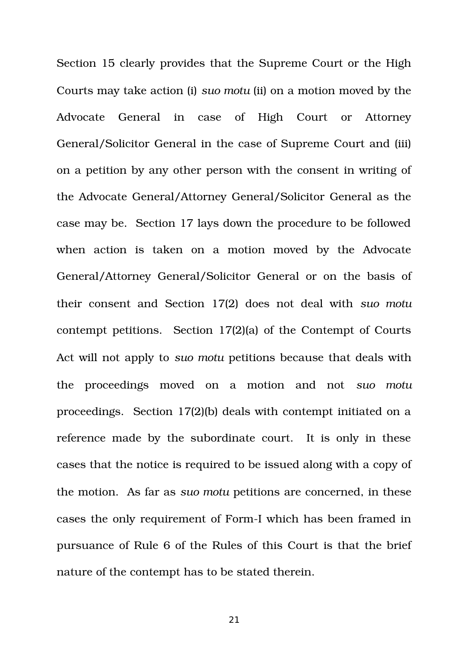Section 15 clearly provides that the Supreme Court or the High Courts may take action (i) *suo motu* (ii) on a motion moved by the Advocate General in case of High Court or Attorney General/Solicitor General in the case of Supreme Court and (iii) on a petition by any other person with the consent in writing of the Advocate General/Attorney General/Solicitor General as the case may be. Section 17 lays down the procedure to be followed when action is taken on a motion moved by the Advocate General/Attorney General/Solicitor General or on the basis of their consent and Section 17(2) does not deal with *suo motu* contempt petitions. Section 17(2)(a) of the Contempt of Courts Act will not apply to *suo motu* petitions because that deals with the proceedings moved on a motion and not *suo motu* proceedings. Section 17(2)(b) deals with contempt initiated on a reference made by the subordinate court. It is only in these cases that the notice is required to be issued along with a copy of the motion. As far as *suo motu* petitions are concerned, in these cases the only requirement of Form-I which has been framed in pursuance of Rule 6 of the Rules of this Court is that the brief nature of the contempt has to be stated therein.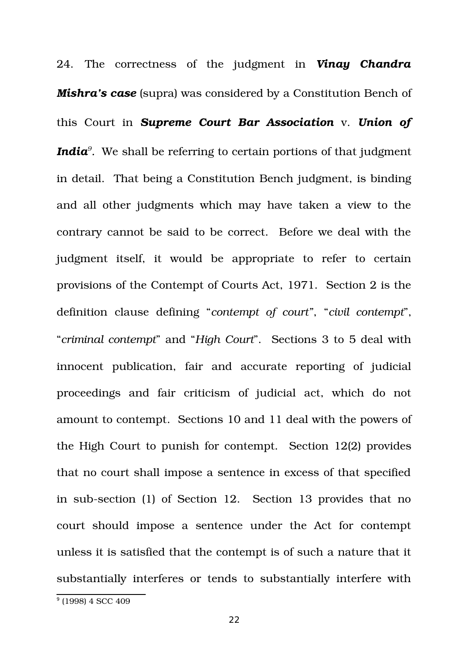24. The correctness of the judgment in *Vinay Chandra Mishra's case* (supra) was considered by a Constitution Bench of this Court in *Supreme Court Bar Association* v. *Union of India[9](#page-21-0) .* We shall be referring to certain portions of that judgment in detail. That being a Constitution Bench judgment, is binding and all other judgments which may have taken a view to the contrary cannot be said to be correct. Before we deal with the judgment itself, it would be appropriate to refer to certain provisions of the Contempt of Courts Act, 1971. Section 2 is the definition clause defining "*contempt of court"*, "*civil contempt*", "*criminal contempt*" and "*High Court*". Sections 3 to 5 deal with innocent publication, fair and accurate reporting of judicial proceedings and fair criticism of judicial act, which do not amount to contempt. Sections 10 and 11 deal with the powers of the High Court to punish for contempt. Section 12(2) provides that no court shall impose a sentence in excess of that specified in sub-section (1) of Section 12. Section 13 provides that no court should impose a sentence under the Act for contempt unless it is satisfied that the contempt is of such a nature that it substantially interferes or tends to substantially interfere with

<span id="page-21-0"></span><sup>9</sup> (1998) 4 SCC 409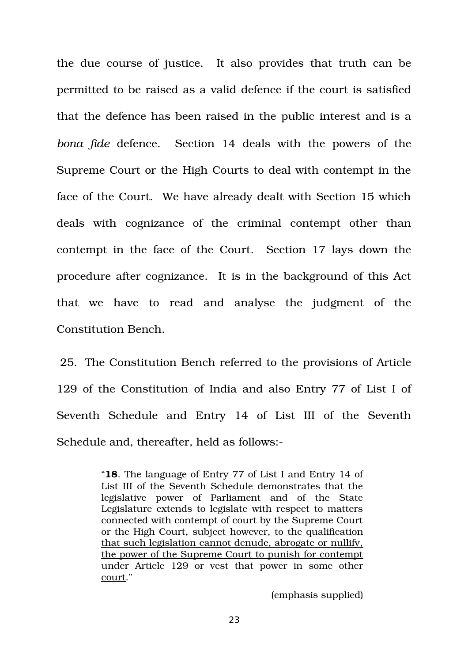the due course of justice. It also provides that truth can be permitted to be raised as a valid defence if the court is satisfied that the defence has been raised in the public interest and is a *bona fide* defence. Section 14 deals with the powers of the Supreme Court or the High Courts to deal with contempt in the face of the Court. We have already dealt with Section 15 which deals with cognizance of the criminal contempt other than contempt in the face of the Court. Section 17 lays down the procedure after cognizance. It is in the background of this Act that we have to read and analyse the judgment of the Constitution Bench.

25. The Constitution Bench referred to the provisions of Article 129 of the Constitution of India and also Entry 77 of List I of Seventh Schedule and Entry 14 of List III of the Seventh Schedule and, thereafter, held as follows:

> "**18**. The language of Entry 77 of List I and Entry 14 of List III of the Seventh Schedule demonstrates that the legislative power of Parliament and of the State Legislature extends to legislate with respect to matters connected with contempt of court by the Supreme Court or the High Court, subject however, to the qualification that such legislation cannot denude, abrogate or nullify, the power of the Supreme Court to punish for contempt under Article 129 or vest that power in some other court."

> > (emphasis supplied)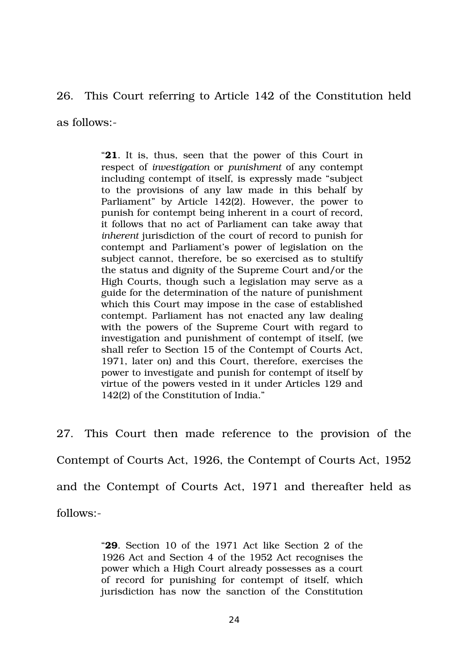26. This Court referring to Article 142 of the Constitution held

as follows:

"**21**. It is, thus, seen that the power of this Court in respect of *investigation* or *punishment* of any contempt including contempt of itself, is expressly made "subject to the provisions of any law made in this behalf by Parliament" by Article 142(2). However, the power to punish for contempt being inherent in a court of record, it follows that no act of Parliament can take away that *inherent* jurisdiction of the court of record to punish for contempt and Parliament's power of legislation on the subject cannot, therefore, be so exercised as to stultify the status and dignity of the Supreme Court and/or the High Courts, though such a legislation may serve as a guide for the determination of the nature of punishment which this Court may impose in the case of established contempt. Parliament has not enacted any law dealing with the powers of the Supreme Court with regard to investigation and punishment of contempt of itself, (we shall refer to Section 15 of the Contempt of Courts Act, 1971, later on) and this Court, therefore, exercises the power to investigate and punish for contempt of itself by virtue of the powers vested in it under Articles 129 and 142(2) of the Constitution of India."

27. This Court then made reference to the provision of the Contempt of Courts Act, 1926, the Contempt of Courts Act, 1952 and the Contempt of Courts Act, 1971 and thereafter held as follows:

> "**29**. Section 10 of the 1971 Act like Section 2 of the 1926 Act and Section 4 of the 1952 Act recognises the power which a High Court already possesses as a court of record for punishing for contempt of itself, which jurisdiction has now the sanction of the Constitution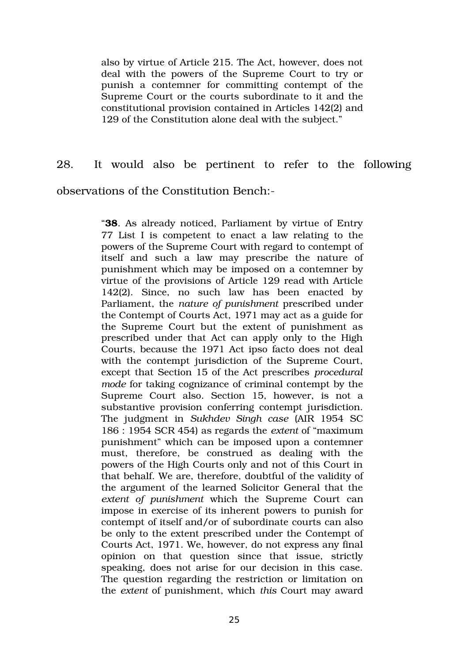also by virtue of Article 215. The Act, however, does not deal with the powers of the Supreme Court to try or punish a contemner for committing contempt of the Supreme Court or the courts subordinate to it and the constitutional provision contained in Articles 142(2) and 129 of the Constitution alone deal with the subject."

# 28. It would also be pertinent to refer to the following observations of the Constitution Bench:

"**38**. As already noticed, Parliament by virtue of Entry 77 List I is competent to enact a law relating to the powers of the Supreme Court with regard to contempt of itself and such a law may prescribe the nature of punishment which may be imposed on a contemner by virtue of the provisions of Article 129 read with Article 142(2). Since, no such law has been enacted by Parliament, the *nature of punishment* prescribed under the Contempt of Courts Act, 1971 may act as a guide for the Supreme Court but the extent of punishment as prescribed under that Act can apply only to the High Courts, because the 1971 Act ipso facto does not deal with the contempt jurisdiction of the Supreme Court, except that Section 15 of the Act prescribes *procedural mode* for taking cognizance of criminal contempt by the Supreme Court also. Section 15, however, is not a substantive provision conferring contempt jurisdiction. The judgment in *Sukhdev Singh case* (AIR 1954 SC 186 : 1954 SCR 454) as regards the *extent* of "maximum punishment" which can be imposed upon a contemner must, therefore, be construed as dealing with the powers of the High Courts only and not of this Court in that behalf. We are, therefore, doubtful of the validity of the argument of the learned Solicitor General that the *extent of punishment* which the Supreme Court can impose in exercise of its inherent powers to punish for contempt of itself and/or of subordinate courts can also be only to the extent prescribed under the Contempt of Courts Act, 1971. We, however, do not express any final opinion on that question since that issue, strictly speaking, does not arise for our decision in this case. The question regarding the restriction or limitation on the *extent* of punishment, which *this* Court may award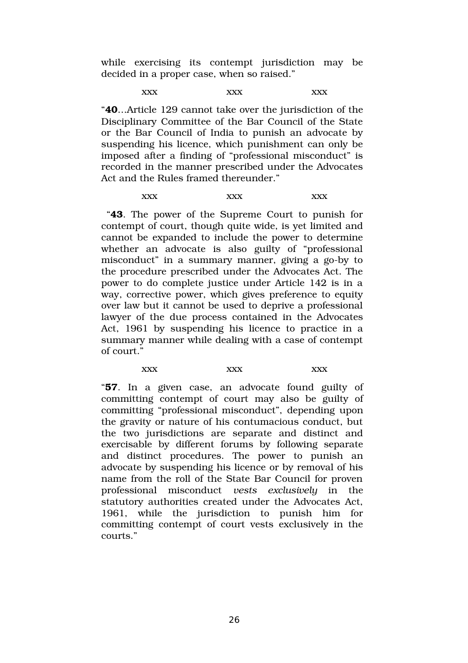while exercising its contempt jurisdiction may be decided in a proper case, when so raised."

xxx xxx xxx xxx

"**40**…Article 129 cannot take over the jurisdiction of the Disciplinary Committee of the Bar Council of the State or the Bar Council of India to punish an advocate by suspending his licence, which punishment can only be imposed after a finding of "professional misconduct" is recorded in the manner prescribed under the Advocates Act and the Rules framed thereunder."

xxx xxx xxx xxx

 "**43**. The power of the Supreme Court to punish for contempt of court, though quite wide, is yet limited and cannot be expanded to include the power to determine whether an advocate is also guilty of "professional" misconduct" in a summary manner, giving a go-by to the procedure prescribed under the Advocates Act. The power to do complete justice under Article 142 is in a way, corrective power, which gives preference to equity over law but it cannot be used to deprive a professional lawyer of the due process contained in the Advocates Act, 1961 by suspending his licence to practice in a summary manner while dealing with a case of contempt of court."

xxx xxx xxx xxx

"**57**. In a given case, an advocate found guilty of committing contempt of court may also be guilty of committing "professional misconduct", depending upon the gravity or nature of his contumacious conduct, but the two jurisdictions are separate and distinct and exercisable by different forums by following separate and distinct procedures. The power to punish an advocate by suspending his licence or by removal of his name from the roll of the State Bar Council for proven professional misconduct *vests exclusively* in the statutory authorities created under the Advocates Act, 1961, while the jurisdiction to punish him for committing contempt of court vests exclusively in the courts."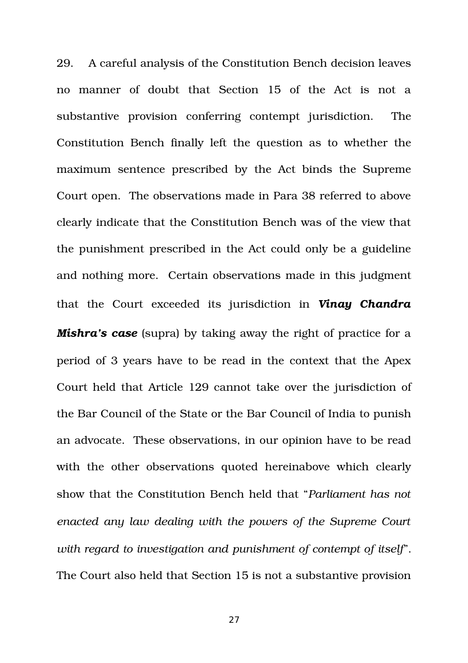29. A careful analysis of the Constitution Bench decision leaves no manner of doubt that Section 15 of the Act is not a substantive provision conferring contempt jurisdiction. The Constitution Bench finally left the question as to whether the maximum sentence prescribed by the Act binds the Supreme Court open. The observations made in Para 38 referred to above clearly indicate that the Constitution Bench was of the view that the punishment prescribed in the Act could only be a guideline and nothing more. Certain observations made in this judgment that the Court exceeded its jurisdiction in *Vinay Chandra Mishra's case* (supra) by taking away the right of practice for a period of 3 years have to be read in the context that the Apex Court held that Article 129 cannot take over the jurisdiction of the Bar Council of the State or the Bar Council of India to punish an advocate. These observations, in our opinion have to be read with the other observations quoted hereinabove which clearly show that the Constitution Bench held that "*Parliament has not enacted any law dealing with the powers of the Supreme Court with regard to investigation and punishment of contempt of itself*". The Court also held that Section 15 is not a substantive provision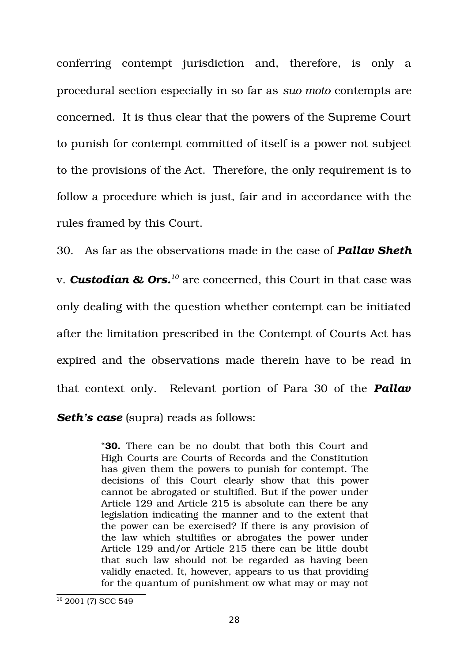conferring contempt jurisdiction and, therefore, is only a procedural section especially in so far as *suo moto* contempts are concerned. It is thus clear that the powers of the Supreme Court to punish for contempt committed of itself is a power not subject to the provisions of the Act. Therefore, the only requirement is to follow a procedure which is just, fair and in accordance with the rules framed by this Court.

30. As far as the observations made in the case of *Pallav Sheth* v. *Custodian & Ors.[10](#page-27-0)* are concerned, this Court in that case was only dealing with the question whether contempt can be initiated after the limitation prescribed in the Contempt of Courts Act has expired and the observations made therein have to be read in that context only. Relevant portion of Para 30 of the *Pallav* **Seth's case** (supra) reads as follows:

> "**30.** There can be no doubt that both this Court and High Courts are Courts of Records and the Constitution has given them the powers to punish for contempt. The decisions of this Court clearly show that this power cannot be abrogated or stultified. But if the power under Article 129 and Article 215 is absolute can there be any legislation indicating the manner and to the extent that the power can be exercised? If there is any provision of the law which stultifies or abrogates the power under Article 129 and/or Article 215 there can be little doubt that such law should not be regarded as having been validly enacted. It, however, appears to us that providing for the quantum of punishment ow what may or may not

<span id="page-27-0"></span><sup>&</sup>lt;sup>10</sup> 2001 (7) SCC 549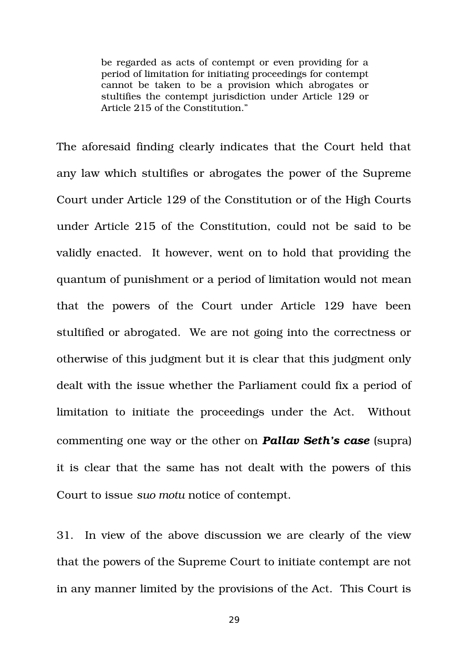be regarded as acts of contempt or even providing for a period of limitation for initiating proceedings for contempt cannot be taken to be a provision which abrogates or stultifies the contempt jurisdiction under Article 129 or Article 215 of the Constitution."

The aforesaid finding clearly indicates that the Court held that any law which stultifies or abrogates the power of the Supreme Court under Article 129 of the Constitution or of the High Courts under Article 215 of the Constitution, could not be said to be validly enacted. It however, went on to hold that providing the quantum of punishment or a period of limitation would not mean that the powers of the Court under Article 129 have been stultified or abrogated. We are not going into the correctness or otherwise of this judgment but it is clear that this judgment only dealt with the issue whether the Parliament could fix a period of limitation to initiate the proceedings under the Act. Without commenting one way or the other on *Pallav Seth's case* (supra) it is clear that the same has not dealt with the powers of this Court to issue *suo motu* notice of contempt.

31. In view of the above discussion we are clearly of the view that the powers of the Supreme Court to initiate contempt are not in any manner limited by the provisions of the Act. This Court is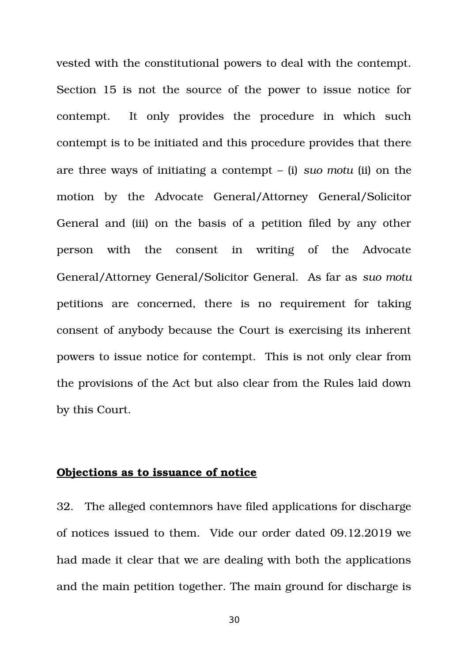vested with the constitutional powers to deal with the contempt. Section 15 is not the source of the power to issue notice for contempt. It only provides the procedure in which such contempt is to be initiated and this procedure provides that there are three ways of initiating a contempt – (i) *suo motu* (ii) on the motion by the Advocate General/Attorney General/Solicitor General and (iii) on the basis of a petition filed by any other person with the consent in writing of the Advocate General/Attorney General/Solicitor General. As far as *suo motu* petitions are concerned, there is no requirement for taking consent of anybody because the Court is exercising its inherent powers to issue notice for contempt. This is not only clear from the provisions of the Act but also clear from the Rules laid down by this Court.

### **Objections as to issuance of notice**

32. The alleged contemnors have filed applications for discharge of notices issued to them. Vide our order dated 09.12.2019 we had made it clear that we are dealing with both the applications and the main petition together. The main ground for discharge is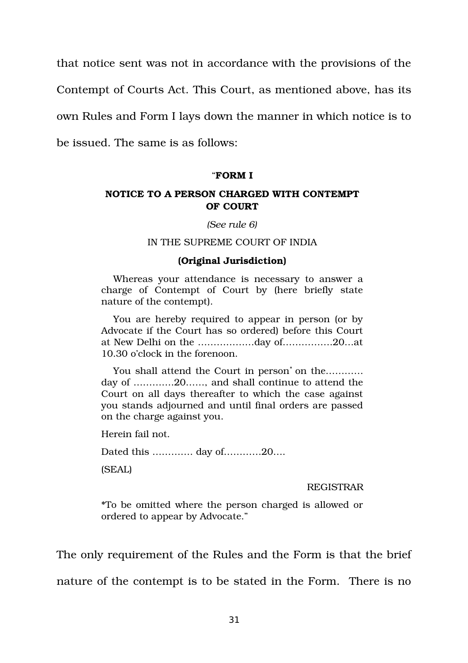that notice sent was not in accordance with the provisions of the

Contempt of Courts Act. This Court, as mentioned above, has its

own Rules and Form I lays down the manner in which notice is to

be issued. The same is as follows:

### "**FORM I**

### **NOTICE TO A PERSON CHARGED WITH CONTEMPT OF COURT**

*(See rule 6)*

### IN THE SUPREME COURT OF INDIA

### **(Original Jurisdiction)**

Whereas your attendance is necessary to answer a charge of Contempt of Court by (here briefly state nature of the contempt).

You are hereby required to appear in person (or by Advocate if the Court has so ordered) before this Court at New Delhi on the ………………day of…………….20…at 10.30 o'clock in the forenoon.

You shall attend the Court in person<sup>\*</sup> on the………… day of ………….20……, and shall continue to attend the Court on all days thereafter to which the case against you stands adjourned and until final orders are passed on the charge against you.

Herein fail not.

Dated this …………. day of…………20….

(SEAL)

#### REGISTRAR

\*To be omitted where the person charged is allowed or ordered to appear by Advocate."

The only requirement of the Rules and the Form is that the brief nature of the contempt is to be stated in the Form. There is no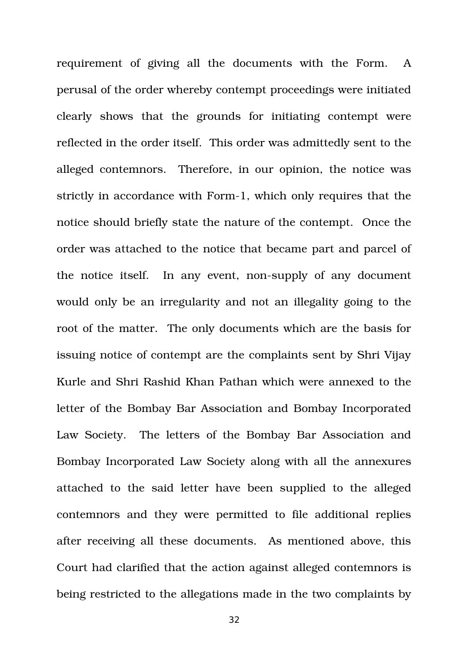requirement of giving all the documents with the Form. A perusal of the order whereby contempt proceedings were initiated clearly shows that the grounds for initiating contempt were reflected in the order itself. This order was admittedly sent to the alleged contemnors. Therefore, in our opinion, the notice was strictly in accordance with Form-1, which only requires that the notice should briefly state the nature of the contempt. Once the order was attached to the notice that became part and parcel of the notice itself. In any event, non-supply of any document would only be an irregularity and not an illegality going to the root of the matter. The only documents which are the basis for issuing notice of contempt are the complaints sent by Shri Vijay Kurle and Shri Rashid Khan Pathan which were annexed to the letter of the Bombay Bar Association and Bombay Incorporated Law Society. The letters of the Bombay Bar Association and Bombay Incorporated Law Society along with all the annexures attached to the said letter have been supplied to the alleged contemnors and they were permitted to file additional replies after receiving all these documents. As mentioned above, this Court had clarified that the action against alleged contemnors is being restricted to the allegations made in the two complaints by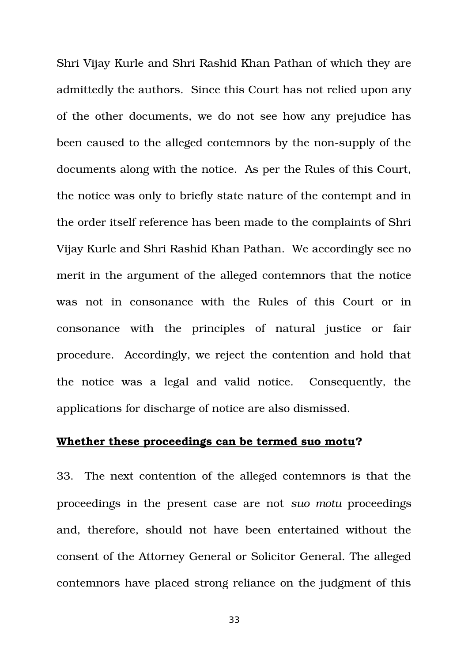Shri Vijay Kurle and Shri Rashid Khan Pathan of which they are admittedly the authors. Since this Court has not relied upon any of the other documents, we do not see how any prejudice has been caused to the alleged contemnors by the non-supply of the documents along with the notice. As per the Rules of this Court, the notice was only to briefly state nature of the contempt and in the order itself reference has been made to the complaints of Shri Vijay Kurle and Shri Rashid Khan Pathan. We accordingly see no merit in the argument of the alleged contemnors that the notice was not in consonance with the Rules of this Court or in consonance with the principles of natural justice or fair procedure. Accordingly, we reject the contention and hold that the notice was a legal and valid notice. Consequently, the applications for discharge of notice are also dismissed.

# **Whether these proceedings can be termed suo motu?**

33. The next contention of the alleged contemnors is that the proceedings in the present case are not suo motu proceedings and, therefore, should not have been entertained without the consent of the Attorney General or Solicitor General. The alleged contemnors have placed strong reliance on the judgment of this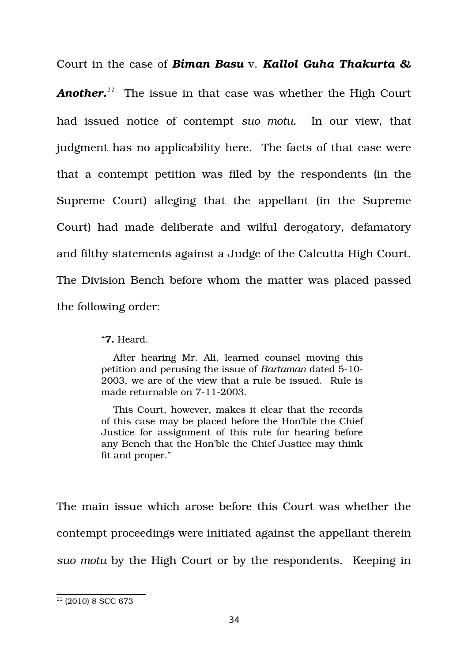Court in the case of *Biman Basu* v. *Kallol Guha Thakurta &*

*Another.[11](#page-33-0)* The issue in that case was whether the High Court had issued notice of contempt suo motu. In our view, that judgment has no applicability here. The facts of that case were that a contempt petition was filed by the respondents (in the Supreme Court) alleging that the appellant (in the Supreme Court) had made deliberate and wilful derogatory, defamatory and filthy statements against a Judge of the Calcutta High Court. The Division Bench before whom the matter was placed passed the following order:

"**7.** Heard.

After hearing Mr. Ali, learned counsel moving this petition and perusing the issue of *Bartaman* dated 510 2003, we are of the view that a rule be issued. Rule is made returnable on 7-11-2003.

This Court, however, makes it clear that the records of this case may be placed before the Hon'ble the Chief Justice for assignment of this rule for hearing before any Bench that the Hon'ble the Chief Justice may think fit and proper."

The main issue which arose before this Court was whether the contempt proceedings were initiated against the appellant therein *suo motu* by the High Court or by the respondents. Keeping in

<span id="page-33-0"></span> $11$  (2010) 8 SCC 673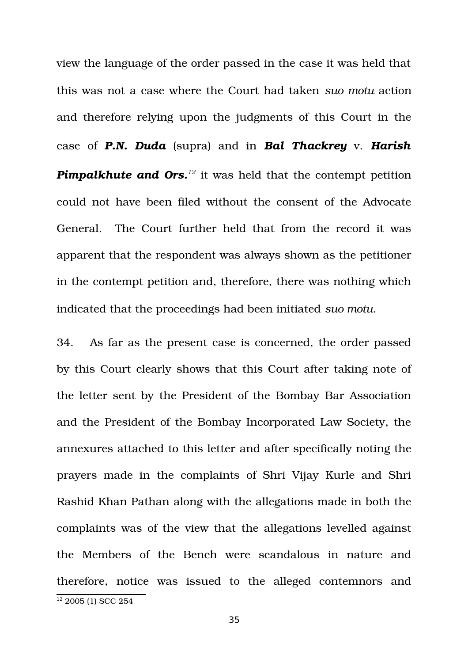view the language of the order passed in the case it was held that this was not a case where the Court had taken *suo motu* action and therefore relying upon the judgments of this Court in the case of *P.N. Duda* (supra) and in *Bal Thackrey* v. *Harish Pimpalkhute and Ors.*<sup>[12](#page-34-0)</sup> it was held that the contempt petition could not have been filed without the consent of the Advocate General. The Court further held that from the record it was apparent that the respondent was always shown as the petitioner in the contempt petition and, therefore, there was nothing which indicated that the proceedings had been initiated *suo motu*.

34. As far as the present case is concerned, the order passed by this Court clearly shows that this Court after taking note of the letter sent by the President of the Bombay Bar Association and the President of the Bombay Incorporated Law Society, the annexures attached to this letter and after specifically noting the prayers made in the complaints of Shri Vijay Kurle and Shri Rashid Khan Pathan along with the allegations made in both the complaints was of the view that the allegations levelled against the Members of the Bench were scandalous in nature and therefore, notice was issued to the alleged contemnors and

<span id="page-34-0"></span><sup>&</sup>lt;sup>12</sup> 2005 (1) SCC 254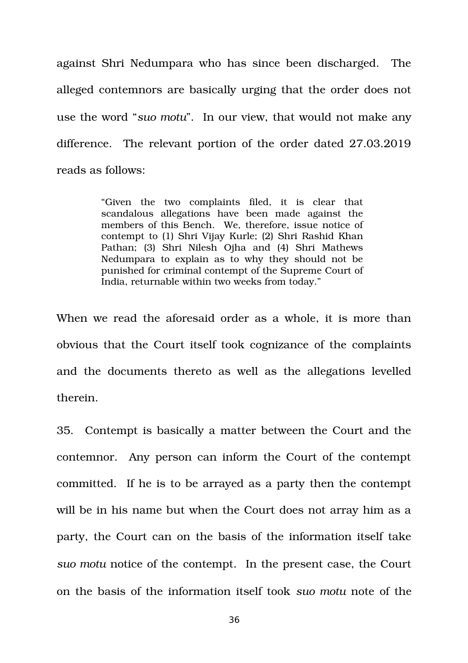against Shri Nedumpara who has since been discharged. The alleged contemnors are basically urging that the order does not use the word "*suo motu*". In our view, that would not make any difference. The relevant portion of the order dated 27.03.2019 reads as follows:

> "Given the two complaints filed, it is clear that scandalous allegations have been made against the members of this Bench. We, therefore, issue notice of contempt to (1) Shri Vijay Kurle; (2) Shri Rashid Khan Pathan; (3) Shri Nilesh Ojha and (4) Shri Mathews Nedumpara to explain as to why they should not be punished for criminal contempt of the Supreme Court of India, returnable within two weeks from today."

When we read the aforesaid order as a whole, it is more than obvious that the Court itself took cognizance of the complaints and the documents thereto as well as the allegations levelled therein.

35. Contempt is basically a matter between the Court and the contemnor. Any person can inform the Court of the contempt committed. If he is to be arrayed as a party then the contempt will be in his name but when the Court does not array him as a party, the Court can on the basis of the information itself take *suo motu* notice of the contempt. In the present case, the Court on the basis of the information itself took *suo motu* note of the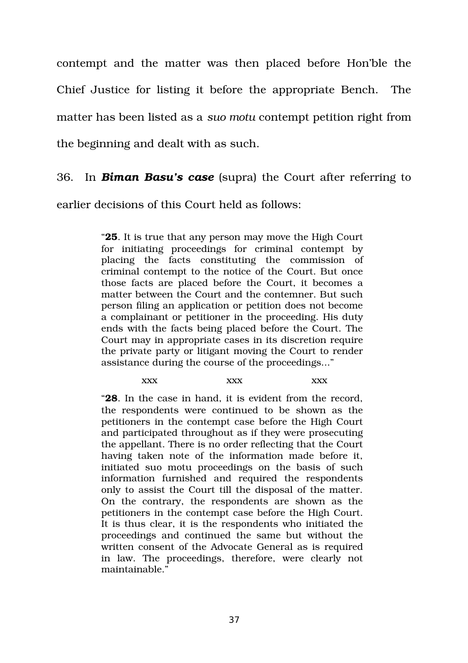contempt and the matter was then placed before Hon'ble the Chief Justice for listing it before the appropriate Bench. The matter has been listed as a *suo motu* contempt petition right from the beginning and dealt with as such.

# 36. In *Biman Basu's case* (supra) the Court after referring to

earlier decisions of this Court held as follows:

"**25**. It is true that any person may move the High Court for initiating proceedings for criminal contempt by placing the facts constituting the commission of criminal contempt to the notice of the Court. But once those facts are placed before the Court, it becomes a matter between the Court and the contemner. But such person filing an application or petition does not become a complainant or petitioner in the proceeding. His duty ends with the facts being placed before the Court. The Court may in appropriate cases in its discretion require the private party or litigant moving the Court to render assistance during the course of the proceedings..."

# xxx xxx xxx xxx

"**28**. In the case in hand, it is evident from the record, the respondents were continued to be shown as the petitioners in the contempt case before the High Court and participated throughout as if they were prosecuting the appellant. There is no order reflecting that the Court having taken note of the information made before it, initiated suo motu proceedings on the basis of such information furnished and required the respondents only to assist the Court till the disposal of the matter. On the contrary, the respondents are shown as the petitioners in the contempt case before the High Court. It is thus clear, it is the respondents who initiated the proceedings and continued the same but without the written consent of the Advocate General as is required in law. The proceedings, therefore, were clearly not maintainable."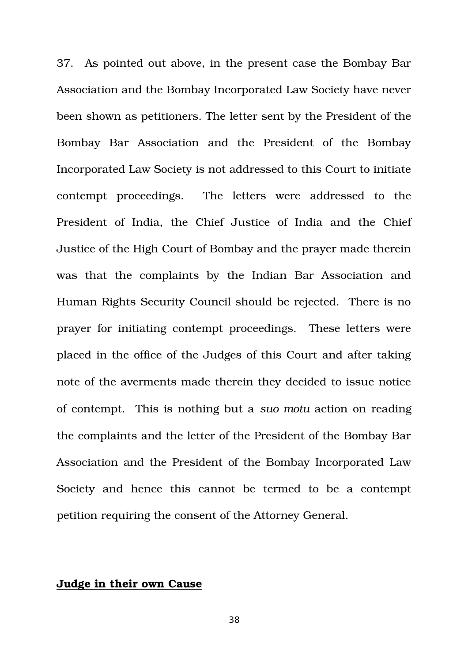37. As pointed out above, in the present case the Bombay Bar Association and the Bombay Incorporated Law Society have never been shown as petitioners. The letter sent by the President of the Bombay Bar Association and the President of the Bombay Incorporated Law Society is not addressed to this Court to initiate contempt proceedings. The letters were addressed to the President of India, the Chief Justice of India and the Chief Justice of the High Court of Bombay and the prayer made therein was that the complaints by the Indian Bar Association and Human Rights Security Council should be rejected. There is no prayer for initiating contempt proceedings. These letters were placed in the office of the Judges of this Court and after taking note of the averments made therein they decided to issue notice of contempt. This is nothing but a *suo motu* action on reading the complaints and the letter of the President of the Bombay Bar Association and the President of the Bombay Incorporated Law Society and hence this cannot be termed to be a contempt petition requiring the consent of the Attorney General.

# **Judge in their own Cause**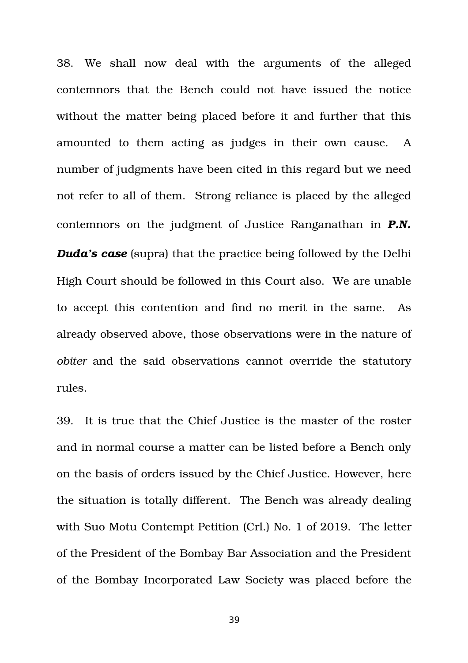38. We shall now deal with the arguments of the alleged contemnors that the Bench could not have issued the notice without the matter being placed before it and further that this amounted to them acting as judges in their own cause. A number of judgments have been cited in this regard but we need not refer to all of them. Strong reliance is placed by the alleged contemnors on the judgment of Justice Ranganathan in *P.N. Duda's case* (supra) that the practice being followed by the Delhi High Court should be followed in this Court also. We are unable to accept this contention and find no merit in the same. As already observed above, those observations were in the nature of *obiter* and the said observations cannot override the statutory rules.

39. It is true that the Chief Justice is the master of the roster and in normal course a matter can be listed before a Bench only on the basis of orders issued by the Chief Justice. However, here the situation is totally different. The Bench was already dealing with Suo Motu Contempt Petition (Crl.) No. 1 of 2019. The letter of the President of the Bombay Bar Association and the President of the Bombay Incorporated Law Society was placed before the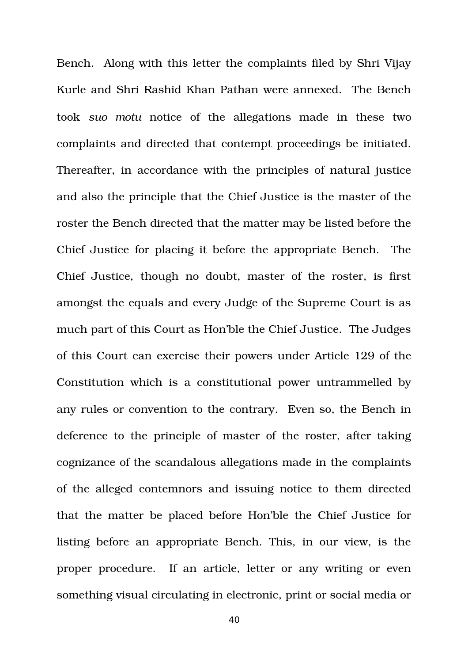Bench. Along with this letter the complaints filed by Shri Vijay Kurle and Shri Rashid Khan Pathan were annexed. The Bench took suo motu notice of the allegations made in these two complaints and directed that contempt proceedings be initiated. Thereafter, in accordance with the principles of natural justice and also the principle that the Chief Justice is the master of the roster the Bench directed that the matter may be listed before the Chief Justice for placing it before the appropriate Bench. The Chief Justice, though no doubt, master of the roster, is first amongst the equals and every Judge of the Supreme Court is as much part of this Court as Hon'ble the Chief Justice. The Judges of this Court can exercise their powers under Article 129 of the Constitution which is a constitutional power untrammelled by any rules or convention to the contrary. Even so, the Bench in deference to the principle of master of the roster, after taking cognizance of the scandalous allegations made in the complaints of the alleged contemnors and issuing notice to them directed that the matter be placed before Hon'ble the Chief Justice for listing before an appropriate Bench. This, in our view, is the proper procedure. If an article, letter or any writing or even something visual circulating in electronic, print or social media or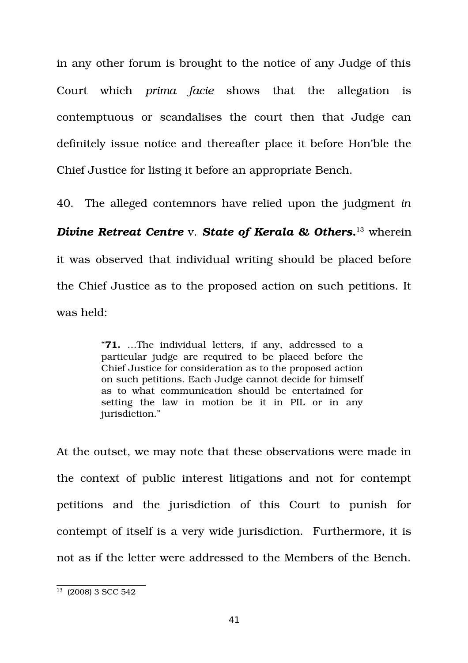in any other forum is brought to the notice of any Judge of this Court which *prima facie* shows that the allegation is contemptuous or scandalises the court then that Judge can definitely issue notice and thereafter place it before Hon'ble the Chief Justice for listing it before an appropriate Bench.

40. The alleged contemnors have relied upon the judgment *in Divine Retreat Centre* v. *State of Kerala & Others***.** [13](#page-40-0) wherein it was observed that individual writing should be placed before the Chief Justice as to the proposed action on such petitions. It was held:

> "**71.** ...The individual letters, if any, addressed to a particular judge are required to be placed before the Chief Justice for consideration as to the proposed action on such petitions. Each Judge cannot decide for himself as to what communication should be entertained for setting the law in motion be it in PIL or in any jurisdiction."

At the outset, we may note that these observations were made in the context of public interest litigations and not for contempt petitions and the jurisdiction of this Court to punish for contempt of itself is a very wide jurisdiction. Furthermore, it is not as if the letter were addressed to the Members of the Bench.

<span id="page-40-0"></span><sup>13</sup> (2008) 3 SCC 542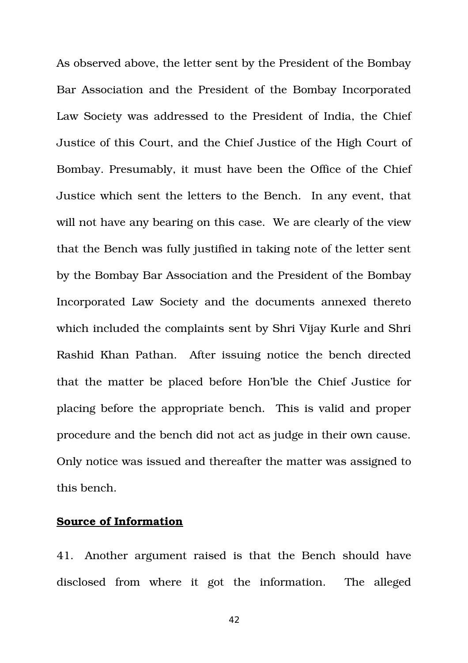As observed above, the letter sent by the President of the Bombay Bar Association and the President of the Bombay Incorporated Law Society was addressed to the President of India, the Chief Justice of this Court, and the Chief Justice of the High Court of Bombay. Presumably, it must have been the Office of the Chief Justice which sent the letters to the Bench. In any event, that will not have any bearing on this case. We are clearly of the view that the Bench was fully justified in taking note of the letter sent by the Bombay Bar Association and the President of the Bombay Incorporated Law Society and the documents annexed thereto which included the complaints sent by Shri Vijay Kurle and Shri Rashid Khan Pathan. After issuing notice the bench directed that the matter be placed before Hon'ble the Chief Justice for placing before the appropriate bench. This is valid and proper procedure and the bench did not act as judge in their own cause. Only notice was issued and thereafter the matter was assigned to this bench.

### **Source of Information**

41. Another argument raised is that the Bench should have disclosed from where it got the information. The alleged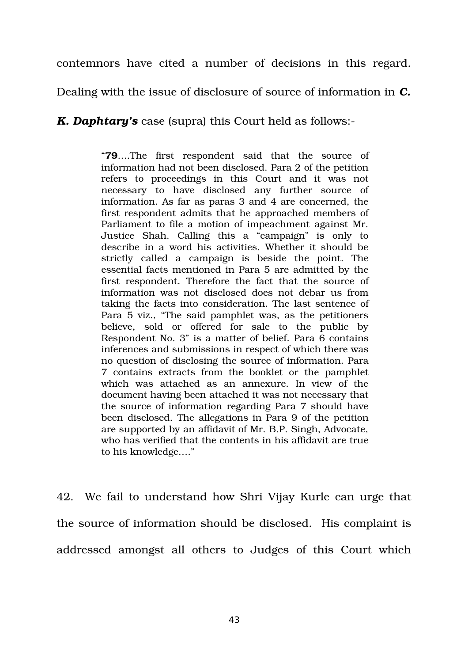contemnors have cited a number of decisions in this regard.

Dealing with the issue of disclosure of source of information in *C.*

*K. Daphtary's* case (supra) this Court held as follows:

"79....The first respondent said that the source of information had not been disclosed. Para 2 of the petition refers to proceedings in this Court and it was not necessary to have disclosed any further source of information. As far as paras 3 and 4 are concerned, the first respondent admits that he approached members of Parliament to file a motion of impeachment against Mr. Justice Shah. Calling this a "campaign" is only to describe in a word his activities. Whether it should be strictly called a campaign is beside the point. The essential facts mentioned in Para 5 are admitted by the first respondent. Therefore the fact that the source of information was not disclosed does not debar us from taking the facts into consideration. The last sentence of Para 5 viz., "The said pamphlet was, as the petitioners believe, sold or offered for sale to the public by Respondent No. 3" is a matter of belief. Para 6 contains inferences and submissions in respect of which there was no question of disclosing the source of information. Para 7 contains extracts from the booklet or the pamphlet which was attached as an annexure. In view of the document having been attached it was not necessary that the source of information regarding Para 7 should have been disclosed. The allegations in Para 9 of the petition are supported by an affidavit of Mr. B.P. Singh, Advocate, who has verified that the contents in his affidavit are true to his knowledge…."

42. We fail to understand how Shri Vijay Kurle can urge that the source of information should be disclosed. His complaint is addressed amongst all others to Judges of this Court which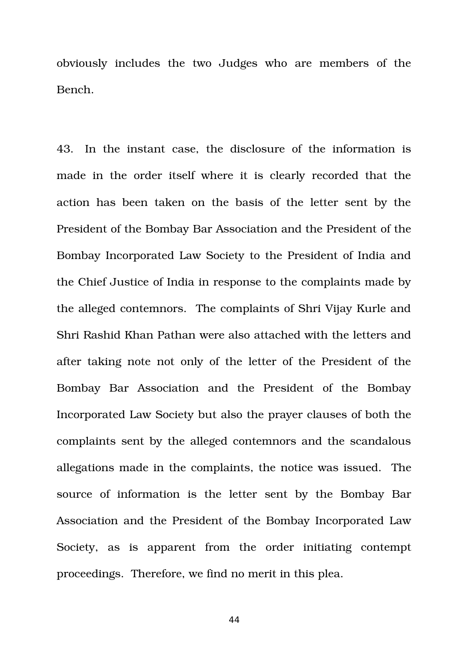obviously includes the two Judges who are members of the Bench.

43. In the instant case, the disclosure of the information is made in the order itself where it is clearly recorded that the action has been taken on the basis of the letter sent by the President of the Bombay Bar Association and the President of the Bombay Incorporated Law Society to the President of India and the Chief Justice of India in response to the complaints made by the alleged contemnors. The complaints of Shri Vijay Kurle and Shri Rashid Khan Pathan were also attached with the letters and after taking note not only of the letter of the President of the Bombay Bar Association and the President of the Bombay Incorporated Law Society but also the prayer clauses of both the complaints sent by the alleged contemnors and the scandalous allegations made in the complaints, the notice was issued. The source of information is the letter sent by the Bombay Bar Association and the President of the Bombay Incorporated Law Society, as is apparent from the order initiating contempt proceedings. Therefore, we find no merit in this plea.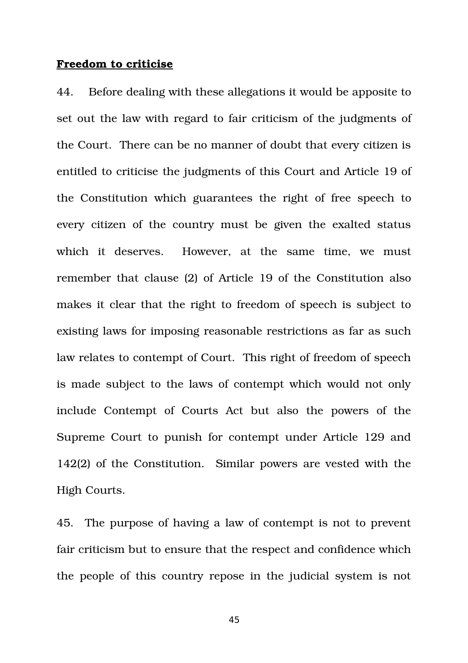#### **Freedom to criticise**

44. Before dealing with these allegations it would be apposite to set out the law with regard to fair criticism of the judgments of the Court. There can be no manner of doubt that every citizen is entitled to criticise the judgments of this Court and Article 19 of the Constitution which guarantees the right of free speech to every citizen of the country must be given the exalted status which it deserves. However, at the same time, we must remember that clause (2) of Article 19 of the Constitution also makes it clear that the right to freedom of speech is subject to existing laws for imposing reasonable restrictions as far as such law relates to contempt of Court. This right of freedom of speech is made subject to the laws of contempt which would not only include Contempt of Courts Act but also the powers of the Supreme Court to punish for contempt under Article 129 and 142(2) of the Constitution. Similar powers are vested with the High Courts.

45. The purpose of having a law of contempt is not to prevent fair criticism but to ensure that the respect and confidence which the people of this country repose in the judicial system is not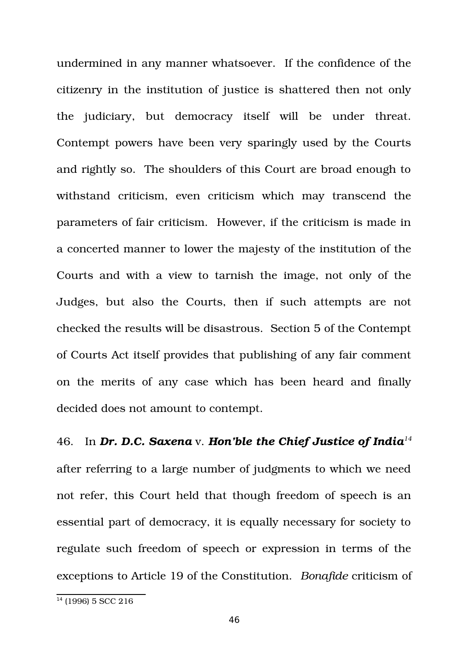undermined in any manner whatsoever. If the confidence of the citizenry in the institution of justice is shattered then not only the judiciary, but democracy itself will be under threat. Contempt powers have been very sparingly used by the Courts and rightly so. The shoulders of this Court are broad enough to withstand criticism, even criticism which may transcend the parameters of fair criticism. However, if the criticism is made in a concerted manner to lower the majesty of the institution of the Courts and with a view to tarnish the image, not only of the Judges, but also the Courts, then if such attempts are not checked the results will be disastrous. Section 5 of the Contempt of Courts Act itself provides that publishing of any fair comment on the merits of any case which has been heard and finally decided does not amount to contempt.

46. In *Dr. D.C. Saxena* v. *Hon'ble the Chief Justice of India[14](#page-45-0)* after referring to a large number of judgments to which we need not refer, this Court held that though freedom of speech is an essential part of democracy, it is equally necessary for society to regulate such freedom of speech or expression in terms of the exceptions to Article 19 of the Constitution. *Bonafide* criticism of

<span id="page-45-0"></span> $\frac{14}{14}$  (1996) 5 SCC 216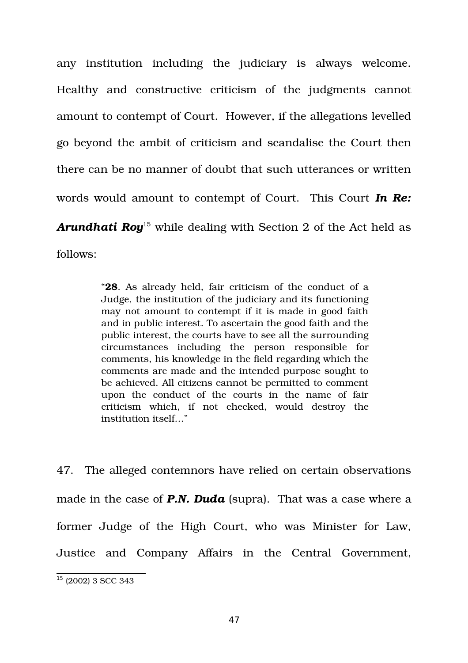any institution including the judiciary is always welcome. Healthy and constructive criticism of the judgments cannot amount to contempt of Court. However, if the allegations levelled go beyond the ambit of criticism and scandalise the Court then there can be no manner of doubt that such utterances or written words would amount to contempt of Court. This Court *In Re:* **Arundhati Roy**<sup>[15](#page-46-0)</sup> while dealing with Section 2 of the Act held as follows:

> "**28**. As already held, fair criticism of the conduct of a Judge, the institution of the judiciary and its functioning may not amount to contempt if it is made in good faith and in public interest. To ascertain the good faith and the public interest, the courts have to see all the surrounding circumstances including the person responsible for comments, his knowledge in the field regarding which the comments are made and the intended purpose sought to be achieved. All citizens cannot be permitted to comment upon the conduct of the courts in the name of fair criticism which, if not checked, would destroy the institution itself…"

47. The alleged contemnors have relied on certain observations made in the case of *P.N. Duda* (supra). That was a case where a former Judge of the High Court, who was Minister for Law, Justice and Company Affairs in the Central Government,

<span id="page-46-0"></span> $15$  (2002) 3 SCC 343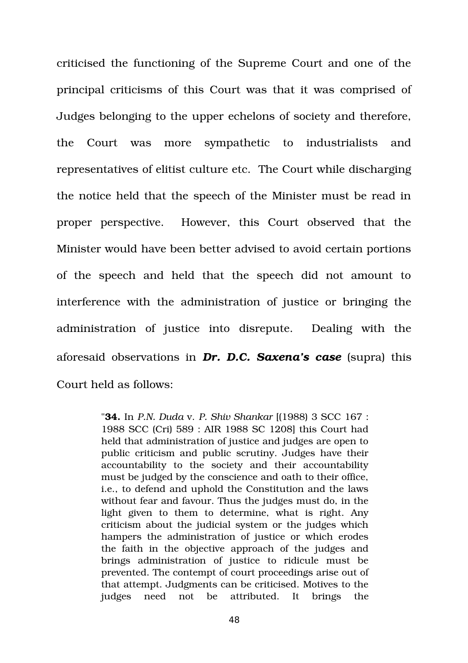criticised the functioning of the Supreme Court and one of the principal criticisms of this Court was that it was comprised of Judges belonging to the upper echelons of society and therefore, the Court was more sympathetic to industrialists and representatives of elitist culture etc. The Court while discharging the notice held that the speech of the Minister must be read in proper perspective. However, this Court observed that the Minister would have been better advised to avoid certain portions of the speech and held that the speech did not amount to interference with the administration of justice or bringing the administration of justice into disrepute. Dealing with the aforesaid observations in *Dr. D.C. Saxena's case* (supra) this Court held as follows:

> "**34.** In *P.N. Duda* v. *P. Shiv Shankar* [(1988) 3 SCC 167 : 1988 SCC (Cri) 589 : AIR 1988 SC 1208] this Court had held that administration of justice and judges are open to public criticism and public scrutiny. Judges have their accountability to the society and their accountability must be judged by the conscience and oath to their office, i.e., to defend and uphold the Constitution and the laws without fear and favour. Thus the judges must do, in the light given to them to determine, what is right. Any criticism about the judicial system or the judges which hampers the administration of justice or which erodes the faith in the objective approach of the judges and brings administration of justice to ridicule must be prevented. The contempt of court proceedings arise out of that attempt. Judgments can be criticised. Motives to the judges need not be attributed. It brings the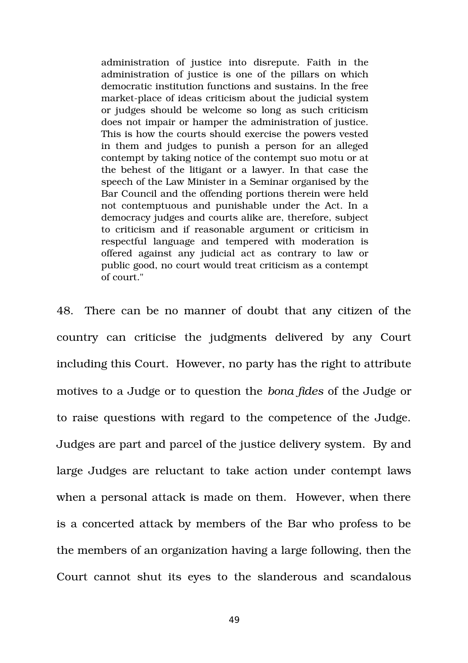administration of justice into disrepute. Faith in the administration of justice is one of the pillars on which democratic institution functions and sustains. In the free market-place of ideas criticism about the judicial system or judges should be welcome so long as such criticism does not impair or hamper the administration of justice. This is how the courts should exercise the powers vested in them and judges to punish a person for an alleged contempt by taking notice of the contempt suo motu or at the behest of the litigant or a lawyer. In that case the speech of the Law Minister in a Seminar organised by the Bar Council and the offending portions therein were held not contemptuous and punishable under the Act. In a democracy judges and courts alike are, therefore, subject to criticism and if reasonable argument or criticism in respectful language and tempered with moderation is offered against any judicial act as contrary to law or public good, no court would treat criticism as a contempt of court."

48. There can be no manner of doubt that any citizen of the country can criticise the judgments delivered by any Court including this Court. However, no party has the right to attribute motives to a Judge or to question the *bona fides* of the Judge or to raise questions with regard to the competence of the Judge. Judges are part and parcel of the justice delivery system. By and large Judges are reluctant to take action under contempt laws when a personal attack is made on them. However, when there is a concerted attack by members of the Bar who profess to be the members of an organization having a large following, then the Court cannot shut its eyes to the slanderous and scandalous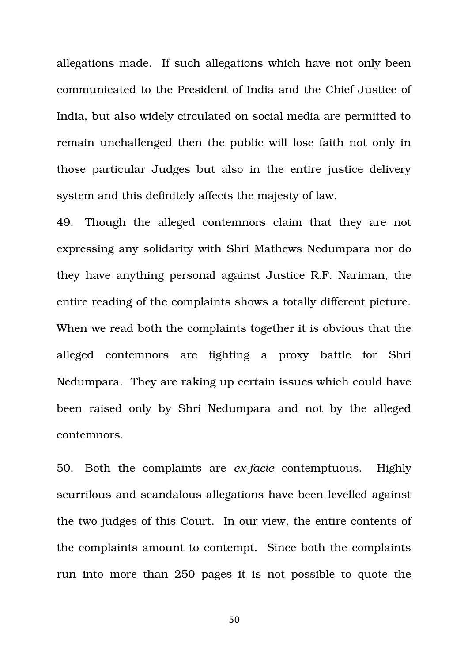allegations made. If such allegations which have not only been communicated to the President of India and the Chief Justice of India, but also widely circulated on social media are permitted to remain unchallenged then the public will lose faith not only in those particular Judges but also in the entire justice delivery system and this definitely affects the majesty of law.

49. Though the alleged contemnors claim that they are not expressing any solidarity with Shri Mathews Nedumpara nor do they have anything personal against Justice R.F. Nariman, the entire reading of the complaints shows a totally different picture. When we read both the complaints together it is obvious that the alleged contemnors are fighting a proxy battle for Shri Nedumpara. They are raking up certain issues which could have been raised only by Shri Nedumpara and not by the alleged contemnors.

50. Both the complaints are *exfacie* contemptuous. Highly scurrilous and scandalous allegations have been levelled against the two judges of this Court. In our view, the entire contents of the complaints amount to contempt. Since both the complaints run into more than 250 pages it is not possible to quote the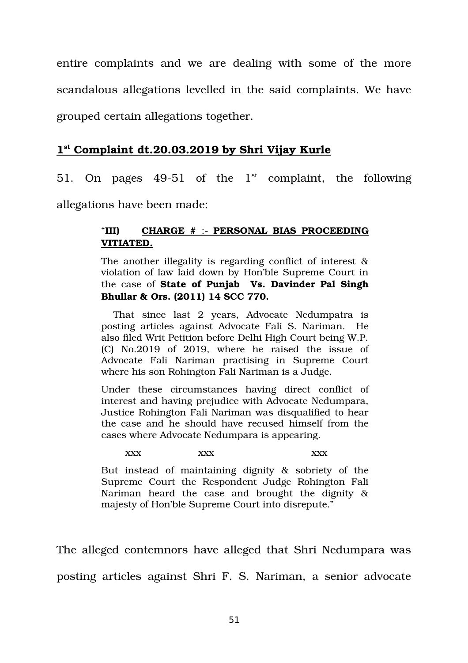entire complaints and we are dealing with some of the more scandalous allegations levelled in the said complaints. We have grouped certain allegations together.

# **1 st Complaint dt.20.03.2019 by Shri Vijay Kurle**

51. On pages  $49-51$  of the  $1<sup>st</sup>$  complaint, the following

allegations have been made:

# "**III) CHARGE #**  : **PERSONAL BIAS PROCEEDING VITIATED.**

The another illegality is regarding conflict of interest & violation of law laid down by Hon'ble Supreme Court in the case of **State of Punjab Vs. Davinder Pal Singh Bhullar & Ors. (2011) 14 SCC 770.**

That since last 2 years, Advocate Nedumpatra is posting articles against Advocate Fali S. Nariman. He also filed Writ Petition before Delhi High Court being W.P. (C) No.2019 of 2019, where he raised the issue of Advocate Fali Nariman practising in Supreme Court where his son Rohington Fali Nariman is a Judge.

Under these circumstances having direct conflict of interest and having prejudice with Advocate Nedumpara, Justice Rohington Fali Nariman was disqualified to hear the case and he should have recused himself from the cases where Advocate Nedumpara is appearing.

xxx xxx xxx xxx

But instead of maintaining dignity  $\&$  sobriety of the Supreme Court the Respondent Judge Rohington Fali Nariman heard the case and brought the dignity  $\&$ majesty of Hon'ble Supreme Court into disrepute."

The alleged contemnors have alleged that Shri Nedumpara was posting articles against Shri F. S. Nariman, a senior advocate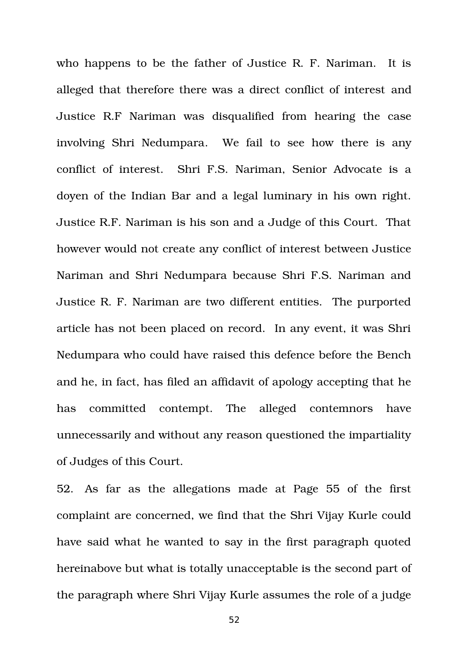who happens to be the father of Justice R. F. Nariman. It is alleged that therefore there was a direct conflict of interest and Justice R.F Nariman was disqualified from hearing the case involving Shri Nedumpara. We fail to see how there is any conflict of interest. Shri F.S. Nariman, Senior Advocate is a doyen of the Indian Bar and a legal luminary in his own right. Justice R.F. Nariman is his son and a Judge of this Court. That however would not create any conflict of interest between Justice Nariman and Shri Nedumpara because Shri F.S. Nariman and Justice R. F. Nariman are two different entities. The purported article has not been placed on record. In any event, it was Shri Nedumpara who could have raised this defence before the Bench and he, in fact, has filed an affidavit of apology accepting that he has committed contempt. The alleged contemnors have unnecessarily and without any reason questioned the impartiality of Judges of this Court.

52. As far as the allegations made at Page 55 of the first complaint are concerned, we find that the Shri Vijay Kurle could have said what he wanted to say in the first paragraph quoted hereinabove but what is totally unacceptable is the second part of the paragraph where Shri Vijay Kurle assumes the role of a judge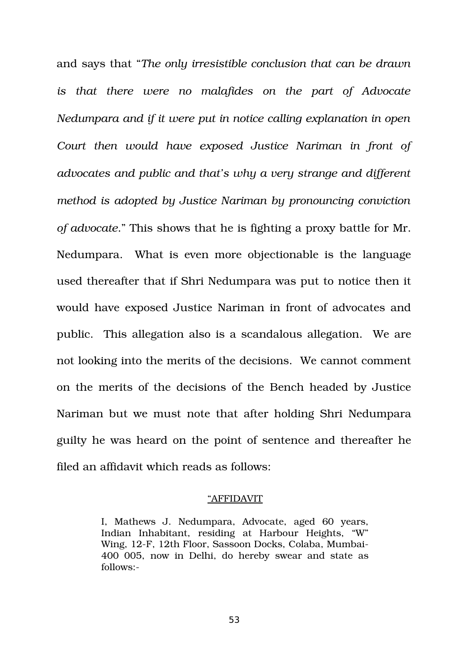and says that "*The only irresistible conclusion that can be drawn is that there were no malafides on the part of Advocate Nedumpara and if it were put in notice calling explanation in open Court then would have exposed Justice Nariman in front of advocates and public and that's why a very strange and different method is adopted by Justice Nariman by pronouncing conviction of advocate*." This shows that he is fighting a proxy battle for Mr. Nedumpara. What is even more objectionable is the language used thereafter that if Shri Nedumpara was put to notice then it would have exposed Justice Nariman in front of advocates and public. This allegation also is a scandalous allegation. We are not looking into the merits of the decisions. We cannot comment on the merits of the decisions of the Bench headed by Justice Nariman but we must note that after holding Shri Nedumpara guilty he was heard on the point of sentence and thereafter he filed an affidavit which reads as follows:

#### "AFFIDAVIT

I, Mathews J. Nedumpara, Advocate, aged 60 years, Indian Inhabitant, residing at Harbour Heights, "W" Wing, 12F, 12th Floor, Sassoon Docks, Colaba, Mumbai-400 005, now in Delhi, do hereby swear and state as follows: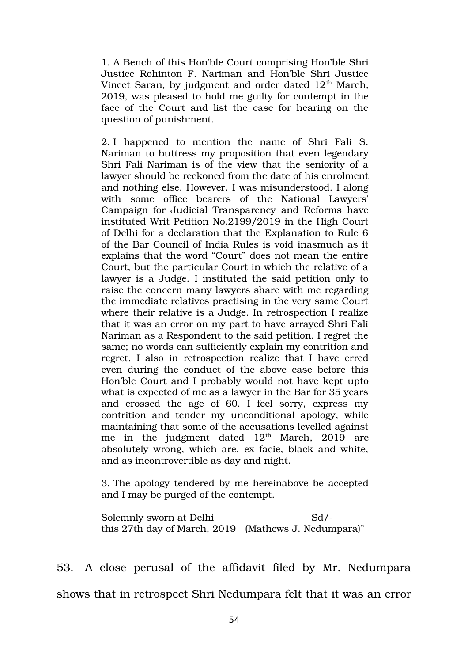1. A Bench of this Hon'ble Court comprising Hon'ble Shri Justice Rohinton F. Nariman and Hon'ble Shri Justice Vineet Saran, by judgment and order dated  $12<sup>th</sup>$  March, 2019, was pleased to hold me guilty for contempt in the face of the Court and list the case for hearing on the question of punishment.

2. I happened to mention the name of Shri Fali S. Nariman to buttress my proposition that even legendary Shri Fali Nariman is of the view that the seniority of a lawyer should be reckoned from the date of his enrolment and nothing else. However, I was misunderstood. I along with some office bearers of the National Lawyers' Campaign for Judicial Transparency and Reforms have instituted Writ Petition No.2199/2019 in the High Court of Delhi for a declaration that the Explanation to Rule 6 of the Bar Council of India Rules is void inasmuch as it explains that the word "Court" does not mean the entire Court, but the particular Court in which the relative of a lawyer is a Judge. I instituted the said petition only to raise the concern many lawyers share with me regarding the immediate relatives practising in the very same Court where their relative is a Judge. In retrospection I realize that it was an error on my part to have arrayed Shri Fali Nariman as a Respondent to the said petition. I regret the same; no words can sufficiently explain my contrition and regret. I also in retrospection realize that I have erred even during the conduct of the above case before this Hon'ble Court and I probably would not have kept upto what is expected of me as a lawyer in the Bar for 35 years and crossed the age of 60. I feel sorry, express my contrition and tender my unconditional apology, while maintaining that some of the accusations levelled against me in the judgment dated  $12<sup>th</sup>$  March,  $2019$  are absolutely wrong, which are, ex facie, black and white, and as incontrovertible as day and night.

3. The apology tendered by me hereinabove be accepted and I may be purged of the contempt.

Solemnly sworn at Delhi Sd/this 27th day of March, 2019 (Mathews J. Nedumpara)"

53. A close perusal of the affidavit filed by Mr. Nedumpara shows that in retrospect Shri Nedumpara felt that it was an error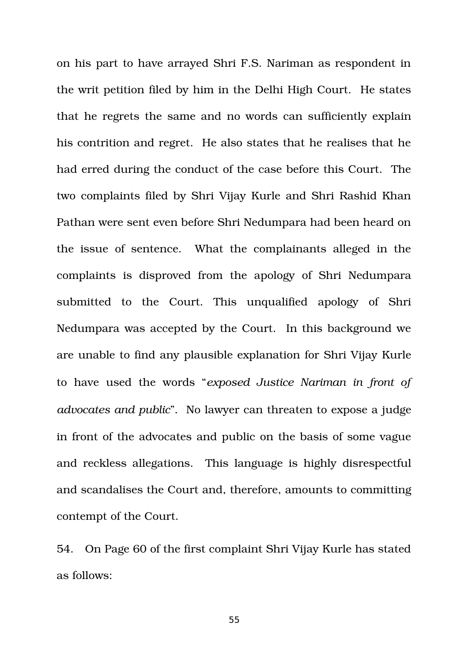on his part to have arrayed Shri F.S. Nariman as respondent in the writ petition filed by him in the Delhi High Court. He states that he regrets the same and no words can sufficiently explain his contrition and regret. He also states that he realises that he had erred during the conduct of the case before this Court. The two complaints filed by Shri Vijay Kurle and Shri Rashid Khan Pathan were sent even before Shri Nedumpara had been heard on the issue of sentence. What the complainants alleged in the complaints is disproved from the apology of Shri Nedumpara submitted to the Court. This unqualified apology of Shri Nedumpara was accepted by the Court. In this background we are unable to find any plausible explanation for Shri Vijay Kurle to have used the words "*exposed Justice Nariman in front of advocates and public*". No lawyer can threaten to expose a judge in front of the advocates and public on the basis of some vague and reckless allegations. This language is highly disrespectful and scandalises the Court and, therefore, amounts to committing contempt of the Court.

54. On Page 60 of the first complaint Shri Vijay Kurle has stated as follows: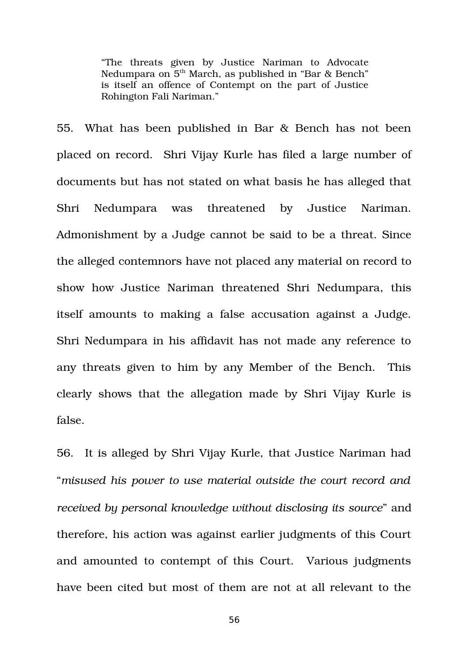"The threats given by Justice Nariman to Advocate Nedumpara on 5<sup>th</sup> March, as published in "Bar & Bench" is itself an offence of Contempt on the part of Justice Rohington Fali Nariman."

55. What has been published in Bar & Bench has not been placed on record. Shri Vijay Kurle has filed a large number of documents but has not stated on what basis he has alleged that Shri Nedumpara was threatened by Justice Nariman. Admonishment by a Judge cannot be said to be a threat. Since the alleged contemnors have not placed any material on record to show how Justice Nariman threatened Shri Nedumpara, this itself amounts to making a false accusation against a Judge. Shri Nedumpara in his affidavit has not made any reference to any threats given to him by any Member of the Bench. This clearly shows that the allegation made by Shri Vijay Kurle is false.

56. It is alleged by Shri Vijay Kurle, that Justice Nariman had "*misused his power to use material outside the court record and received by personal knowledge without disclosing its source*" and therefore, his action was against earlier judgments of this Court and amounted to contempt of this Court. Various judgments have been cited but most of them are not at all relevant to the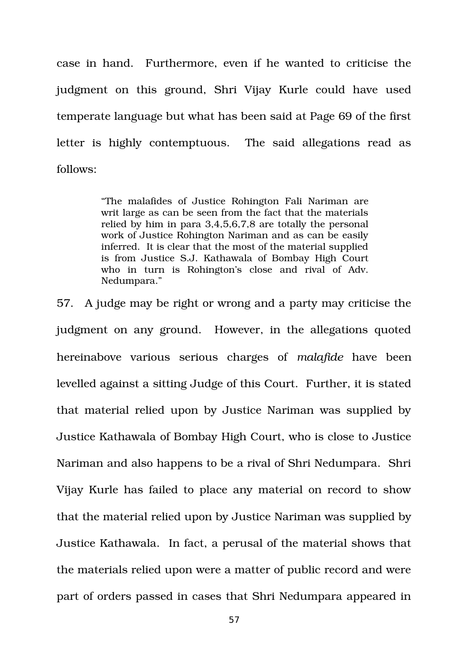case in hand. Furthermore, even if he wanted to criticise the judgment on this ground, Shri Vijay Kurle could have used temperate language but what has been said at Page 69 of the first letter is highly contemptuous. The said allegations read as follows:

> "The malafides of Justice Rohington Fali Nariman are writ large as can be seen from the fact that the materials relied by him in para 3,4,5,6,7,8 are totally the personal work of Justice Rohington Nariman and as can be easily inferred. It is clear that the most of the material supplied is from Justice S.J. Kathawala of Bombay High Court who in turn is Rohington's close and rival of Adv. Nedumpara."

57. A judge may be right or wrong and a party may criticise the judgment on any ground. However, in the allegations quoted hereinabove various serious charges of *malafide* have been levelled against a sitting Judge of this Court. Further, it is stated that material relied upon by Justice Nariman was supplied by Justice Kathawala of Bombay High Court, who is close to Justice Nariman and also happens to be a rival of Shri Nedumpara. Shri Vijay Kurle has failed to place any material on record to show that the material relied upon by Justice Nariman was supplied by Justice Kathawala. In fact, a perusal of the material shows that the materials relied upon were a matter of public record and were part of orders passed in cases that Shri Nedumpara appeared in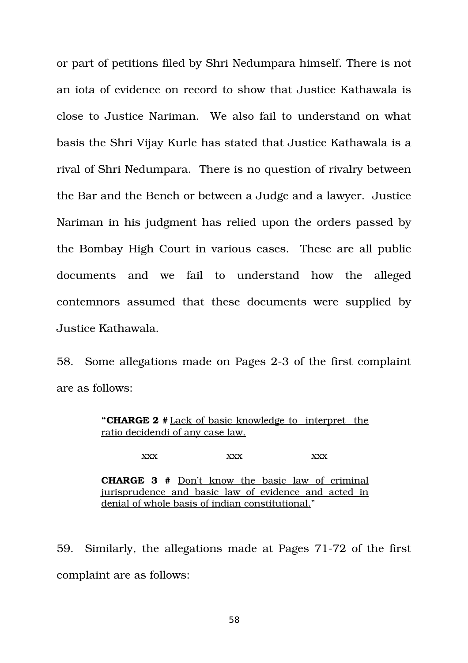or part of petitions filed by Shri Nedumpara himself. There is not an iota of evidence on record to show that Justice Kathawala is close to Justice Nariman. We also fail to understand on what basis the Shri Vijay Kurle has stated that Justice Kathawala is a rival of Shri Nedumpara. There is no question of rivalry between the Bar and the Bench or between a Judge and a lawyer. Justice Nariman in his judgment has relied upon the orders passed by the Bombay High Court in various cases. These are all public documents and we fail to understand how the alleged contemnors assumed that these documents were supplied by Justice Kathawala.

58. Some allegations made on Pages 2-3 of the first complaint are as follows:

> **"CHARGE 2 #** Lack of basic knowledge to interpret the ratio decidendi of any case law.

> > xxx xxx xxx xxx

**CHARGE 3 #** Don't know the basic law of criminal jurisprudence and basic law of evidence and acted in denial of whole basis of indian constitutional."

59. Similarly, the allegations made at Pages 71-72 of the first complaint are as follows: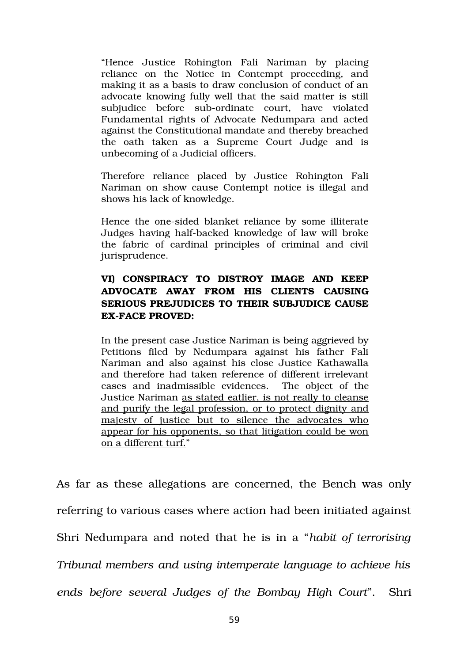"Hence Justice Rohington Fali Nariman by placing reliance on the Notice in Contempt proceeding, and making it as a basis to draw conclusion of conduct of an advocate knowing fully well that the said matter is still subjudice before sub-ordinate court, have violated Fundamental rights of Advocate Nedumpara and acted against the Constitutional mandate and thereby breached the oath taken as a Supreme Court Judge and is unbecoming of a Judicial officers.

Therefore reliance placed by Justice Rohington Fali Nariman on show cause Contempt notice is illegal and shows his lack of knowledge.

Hence the one-sided blanket reliance by some illiterate Judges having half-backed knowledge of law will broke the fabric of cardinal principles of criminal and civil jurisprudence.

# **VI) CONSPIRACY TO DISTROY IMAGE AND KEEP ADVOCATE AWAY FROM HIS CLIENTS CAUSING SERIOUS PREJUDICES TO THEIR SUBJUDICE CAUSE EXFACE PROVED:**

In the present case Justice Nariman is being aggrieved by Petitions filed by Nedumpara against his father Fali Nariman and also against his close Justice Kathawalla and therefore had taken reference of different irrelevant cases and inadmissible evidences. The object of the Justice Nariman as stated eatlier, is not really to cleanse and purify the legal profession, or to protect dignity and majesty of justice but to silence the advocates who appear for his opponents, so that litigation could be won on a different turf."

As far as these allegations are concerned, the Bench was only referring to various cases where action had been initiated against Shri Nedumpara and noted that he is in a "*habit of terrorising Tribunal members and using intemperate language to achieve his ends before several Judges of the Bombay High Court*". Shri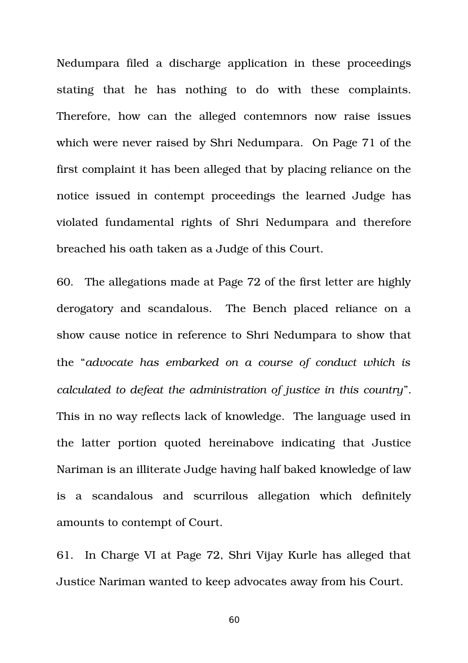Nedumpara filed a discharge application in these proceedings stating that he has nothing to do with these complaints. Therefore, how can the alleged contemnors now raise issues which were never raised by Shri Nedumpara. On Page 71 of the first complaint it has been alleged that by placing reliance on the notice issued in contempt proceedings the learned Judge has violated fundamental rights of Shri Nedumpara and therefore breached his oath taken as a Judge of this Court.

60. The allegations made at Page 72 of the first letter are highly derogatory and scandalous. The Bench placed reliance on a show cause notice in reference to Shri Nedumpara to show that the "*advocate has embarked on a course of conduct which is calculated to defeat the administration of justice in this country*". This in no way reflects lack of knowledge. The language used in the latter portion quoted hereinabove indicating that Justice Nariman is an illiterate Judge having half baked knowledge of law is a scandalous and scurrilous allegation which definitely amounts to contempt of Court.

61. In Charge VI at Page 72, Shri Vijay Kurle has alleged that Justice Nariman wanted to keep advocates away from his Court.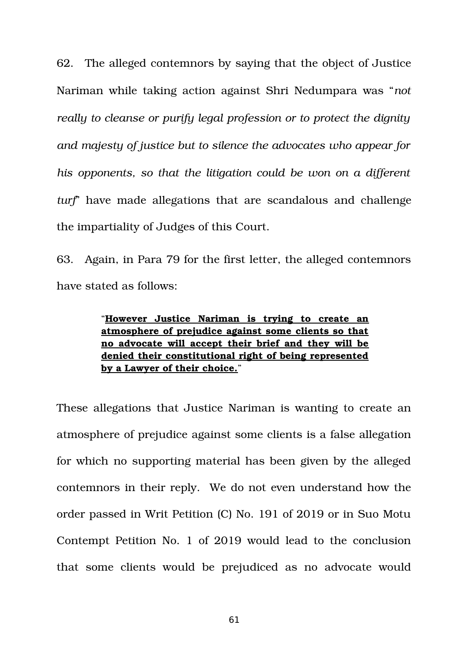62. The alleged contemnors by saying that the object of Justice Nariman while taking action against Shri Nedumpara was "*not really to cleanse or purify legal profession or to protect the dignity and majesty of justice but to silence the advocates who appear for his opponents, so that the litigation could be won on a different turf*" have made allegations that are scandalous and challenge the impartiality of Judges of this Court.

63. Again, in Para 79 for the first letter, the alleged contemnors have stated as follows:

> "**However Justice Nariman is trying to create an atmosphere of prejudice against some clients so that no advocate will accept their brief and they will be denied their constitutional right of being represented by a Lawyer of their choice.**"

These allegations that Justice Nariman is wanting to create an atmosphere of prejudice against some clients is a false allegation for which no supporting material has been given by the alleged contemnors in their reply. We do not even understand how the order passed in Writ Petition (C) No. 191 of 2019 or in Suo Motu Contempt Petition No. 1 of 2019 would lead to the conclusion that some clients would be prejudiced as no advocate would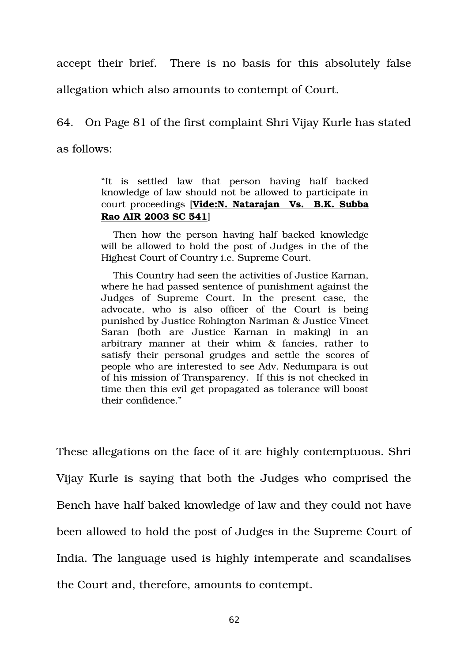accept their brief. There is no basis for this absolutely false

allegation which also amounts to contempt of Court.

64. On Page 81 of the first complaint Shri Vijay Kurle has stated as follows:

> "It is settled law that person having half backed knowledge of law should not be allowed to participate in court proceedings [**Vide:N. Natarajan Vs. B.K. Subba Rao AIR 2003 SC 541**]

> Then how the person having half backed knowledge will be allowed to hold the post of Judges in the of the Highest Court of Country i.e. Supreme Court.

> This Country had seen the activities of Justice Karnan, where he had passed sentence of punishment against the Judges of Supreme Court. In the present case, the advocate, who is also officer of the Court is being punished by Justice Rohington Nariman & Justice Vineet Saran (both are Justice Karnan in making) in an arbitrary manner at their whim & fancies, rather to satisfy their personal grudges and settle the scores of people who are interested to see Adv. Nedumpara is out of his mission of Transparency. If this is not checked in time then this evil get propagated as tolerance will boost their confidence."

These allegations on the face of it are highly contemptuous. Shri Vijay Kurle is saying that both the Judges who comprised the Bench have half baked knowledge of law and they could not have been allowed to hold the post of Judges in the Supreme Court of India. The language used is highly intemperate and scandalises the Court and, therefore, amounts to contempt.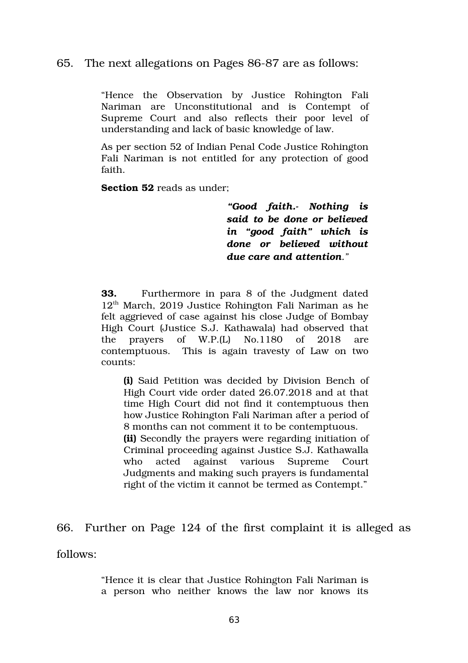# 65. The next allegations on Pages 86-87 are as follows:

"Hence the Observation by Justice Rohington Fali Nariman are Unconstitutional and is Contempt of Supreme Court and also reflects their poor level of understanding and lack of basic knowledge of law.

As per section 52 of Indian Penal Code Justice Rohington Fali Nariman is not entitled for any protection of good faith.

**Section 52** reads as under;

*"Good faith. Nothing is said to be done or believed in "good faith" which is done or believed without due care and attention."*

**33.** Furthermore in para 8 of the Judgment dated  $12<sup>th</sup>$  March, 2019 Justice Rohington Fali Nariman as he felt aggrieved of case against his close Judge of Bombay High Court (Justice S.J. Kathawala) had observed that the prayers of W.P.(L) No.1180 of 2018 are contemptuous. This is again travesty of Law on two counts:

**(i)** Said Petition was decided by Division Bench of High Court vide order dated 26.07.2018 and at that time High Court did not find it contemptuous then how Justice Rohington Fali Nariman after a period of 8 months can not comment it to be contemptuous. **(ii)** Secondly the prayers were regarding initiation of Criminal proceeding against Justice S.J. Kathawalla who acted against various Supreme Court Judgments and making such prayers is fundamental right of the victim it cannot be termed as Contempt."

66. Further on Page 124 of the first complaint it is alleged as

follows:

"Hence it is clear that Justice Rohington Fali Nariman is a person who neither knows the law nor knows its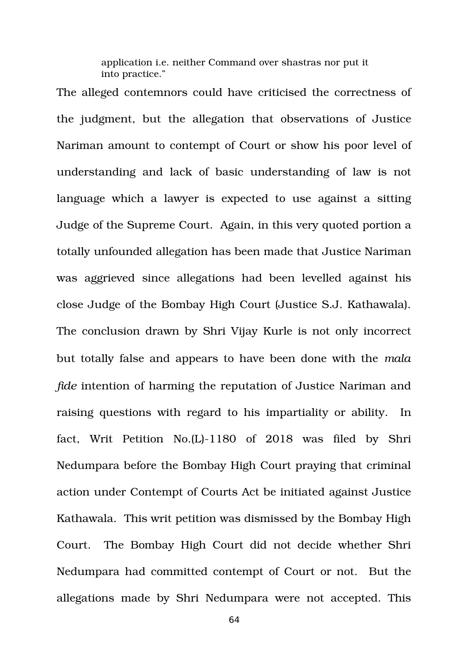application i.e. neither Command over shastras nor put it into practice."

The alleged contemnors could have criticised the correctness of the judgment, but the allegation that observations of Justice Nariman amount to contempt of Court or show his poor level of understanding and lack of basic understanding of law is not language which a lawyer is expected to use against a sitting Judge of the Supreme Court. Again, in this very quoted portion a totally unfounded allegation has been made that Justice Nariman was aggrieved since allegations had been levelled against his close Judge of the Bombay High Court (Justice S.J. Kathawala). The conclusion drawn by Shri Vijay Kurle is not only incorrect but totally false and appears to have been done with the *mala fide* intention of harming the reputation of Justice Nariman and raising questions with regard to his impartiality or ability. In fact, Writ Petition No.(L)-1180 of 2018 was filed by Shri Nedumpara before the Bombay High Court praying that criminal action under Contempt of Courts Act be initiated against Justice Kathawala. This writ petition was dismissed by the Bombay High Court. The Bombay High Court did not decide whether Shri Nedumpara had committed contempt of Court or not. But the allegations made by Shri Nedumpara were not accepted. This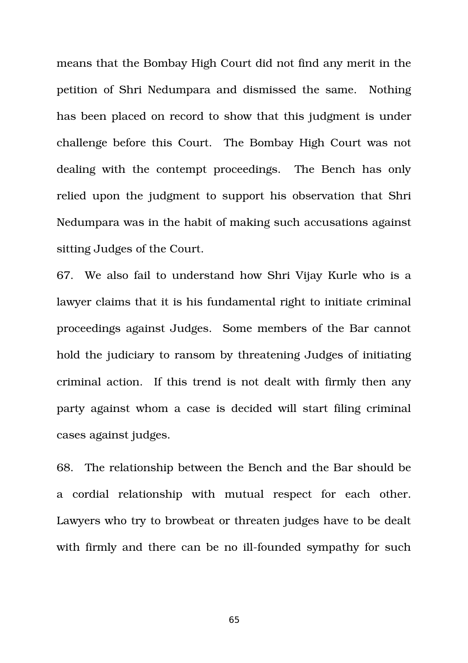means that the Bombay High Court did not find any merit in the petition of Shri Nedumpara and dismissed the same. Nothing has been placed on record to show that this judgment is under challenge before this Court. The Bombay High Court was not dealing with the contempt proceedings. The Bench has only relied upon the judgment to support his observation that Shri Nedumpara was in the habit of making such accusations against sitting Judges of the Court.

67. We also fail to understand how Shri Vijay Kurle who is a lawyer claims that it is his fundamental right to initiate criminal proceedings against Judges. Some members of the Bar cannot hold the judiciary to ransom by threatening Judges of initiating criminal action. If this trend is not dealt with firmly then any party against whom a case is decided will start filing criminal cases against judges.

68. The relationship between the Bench and the Bar should be a cordial relationship with mutual respect for each other. Lawyers who try to browbeat or threaten judges have to be dealt with firmly and there can be no ill-founded sympathy for such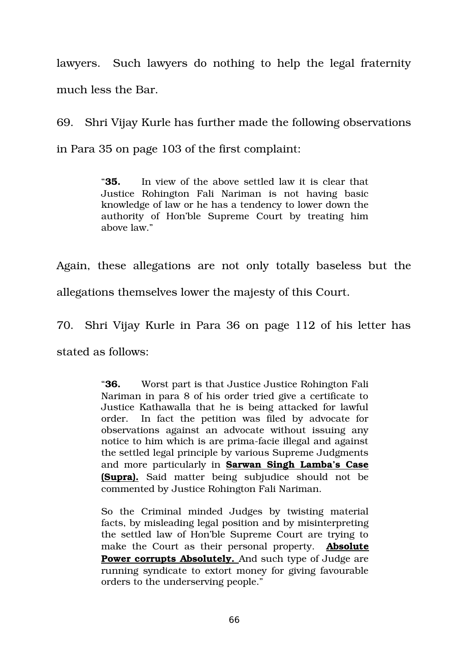lawyers. Such lawyers do nothing to help the legal fraternity much less the Bar.

69. Shri Vijay Kurle has further made the following observations in Para 35 on page 103 of the first complaint:

> "**35.** In view of the above settled law it is clear that Justice Rohington Fali Nariman is not having basic knowledge of law or he has a tendency to lower down the authority of Hon'ble Supreme Court by treating him above law."

Again, these allegations are not only totally baseless but the allegations themselves lower the majesty of this Court.

70. Shri Vijay Kurle in Para 36 on page 112 of his letter has

stated as follows:

"**36.** Worst part is that Justice Justice Rohington Fali Nariman in para 8 of his order tried give a certificate to Justice Kathawalla that he is being attacked for lawful order. In fact the petition was filed by advocate for observations against an advocate without issuing any notice to him which is are prima-facie illegal and against the settled legal principle by various Supreme Judgments and more particularly in **Sarwan Singh Lamba's Case (Supra).** Said matter being subjudice should not be commented by Justice Rohington Fali Nariman.

So the Criminal minded Judges by twisting material facts, by misleading legal position and by misinterpreting the settled law of Hon'ble Supreme Court are trying to make the Court as their personal property. **Absolute Power corrupts Absolutely.** And such type of Judge are running syndicate to extort money for giving favourable orders to the underserving people."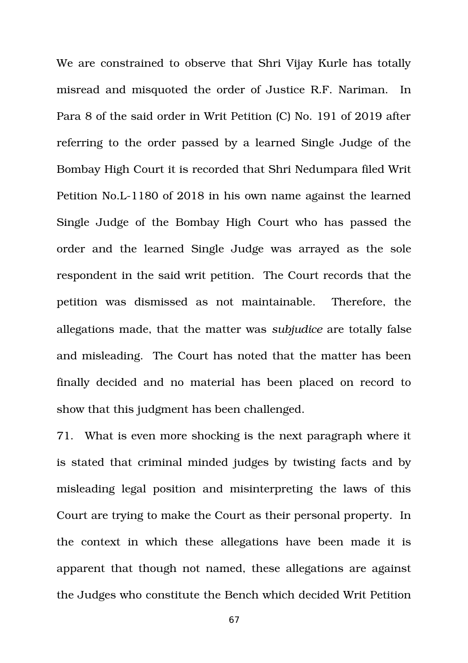We are constrained to observe that Shri Vijay Kurle has totally misread and misquoted the order of Justice R.F. Nariman. In Para 8 of the said order in Writ Petition (C) No. 191 of 2019 after referring to the order passed by a learned Single Judge of the Bombay High Court it is recorded that Shri Nedumpara filed Writ Petition No.L-1180 of 2018 in his own name against the learned Single Judge of the Bombay High Court who has passed the order and the learned Single Judge was arrayed as the sole respondent in the said writ petition. The Court records that the petition was dismissed as not maintainable. Therefore, the allegations made, that the matter was *subjudice* are totally false and misleading. The Court has noted that the matter has been finally decided and no material has been placed on record to show that this judgment has been challenged.

71. What is even more shocking is the next paragraph where it is stated that criminal minded judges by twisting facts and by misleading legal position and misinterpreting the laws of this Court are trying to make the Court as their personal property. In the context in which these allegations have been made it is apparent that though not named, these allegations are against the Judges who constitute the Bench which decided Writ Petition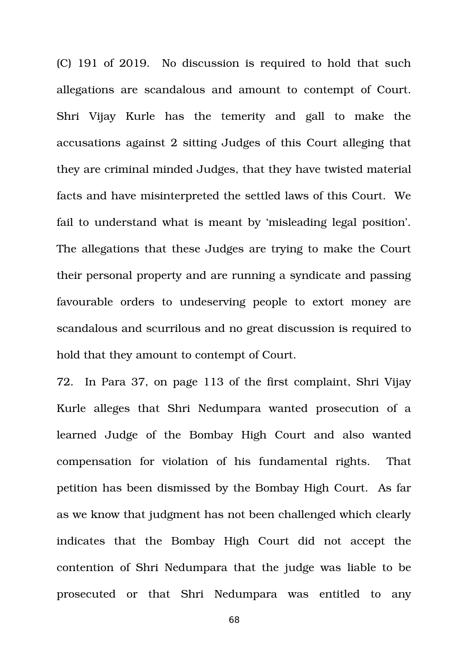(C) 191 of 2019. No discussion is required to hold that such allegations are scandalous and amount to contempt of Court. Shri Vijay Kurle has the temerity and gall to make the accusations against 2 sitting Judges of this Court alleging that they are criminal minded Judges, that they have twisted material facts and have misinterpreted the settled laws of this Court. We fail to understand what is meant by 'misleading legal position'. The allegations that these Judges are trying to make the Court their personal property and are running a syndicate and passing favourable orders to undeserving people to extort money are scandalous and scurrilous and no great discussion is required to hold that they amount to contempt of Court.

72. In Para 37, on page 113 of the first complaint, Shri Vijay Kurle alleges that Shri Nedumpara wanted prosecution of a learned Judge of the Bombay High Court and also wanted compensation for violation of his fundamental rights. That petition has been dismissed by the Bombay High Court. As far as we know that judgment has not been challenged which clearly indicates that the Bombay High Court did not accept the contention of Shri Nedumpara that the judge was liable to be prosecuted or that Shri Nedumpara was entitled to any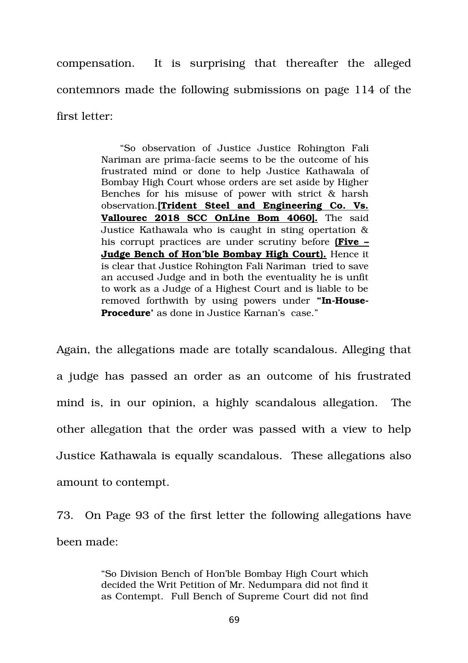compensation. It is surprising that thereafter the alleged contemnors made the following submissions on page 114 of the first letter:

> "So observation of Justice Justice Rohington Fali Nariman are prima-facie seems to be the outcome of his frustrated mind or done to help Justice Kathawala of Bombay High Court whose orders are set aside by Higher Benches for his misuse of power with strict  $\&$  harsh observation.**[Trident Steel and Engineering Co. Vs.** Vallourec 2018 SCC OnLine Bom 4060]. The said Justice Kathawala who is caught in sting opertation & his corrupt practices are under scrutiny before **(Five – Judge Bench of Hon'ble Bombay High Court).** Hence it is clear that Justice Rohington Fali Nariman tried to save an accused Judge and in both the eventuality he is unfit to work as a Judge of a Highest Court and is liable to be removed forthwith by using powers under "In-House-**Procedure'** as done in Justice Karnan's case."

Again, the allegations made are totally scandalous. Alleging that a judge has passed an order as an outcome of his frustrated mind is, in our opinion, a highly scandalous allegation. The other allegation that the order was passed with a view to help Justice Kathawala is equally scandalous. These allegations also amount to contempt.

73. On Page 93 of the first letter the following allegations have been made:

> "So Division Bench of Hon'ble Bombay High Court which decided the Writ Petition of Mr. Nedumpara did not find it as Contempt. Full Bench of Supreme Court did not find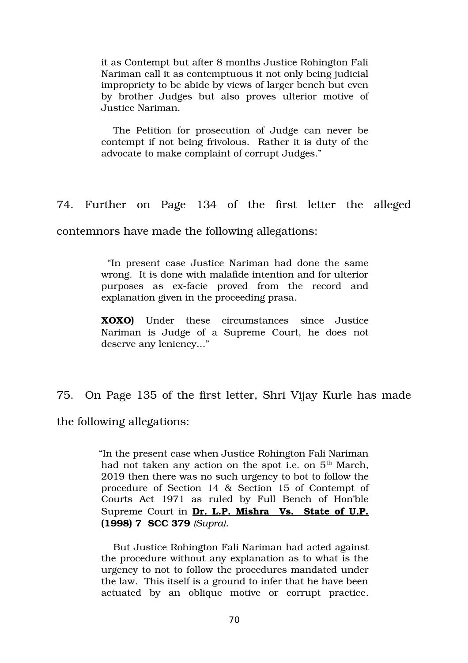it as Contempt but after 8 months Justice Rohington Fali Nariman call it as contemptuous it not only being judicial impropriety to be abide by views of larger bench but even by brother Judges but also proves ulterior motive of Justice Nariman.

The Petition for prosecution of Judge can never be contempt if not being frivolous. Rather it is duty of the advocate to make complaint of corrupt Judges."

74. Further on Page 134 of the first letter the alleged

contemnors have made the following allegations:

 "In present case Justice Nariman had done the same wrong. It is done with malafide intention and for ulterior purposes as ex-facie proved from the record and explanation given in the proceeding prasa.

**XOXO)** Under these circumstances since Justice Nariman is Judge of a Supreme Court, he does not deserve any leniency..."

75. On Page 135 of the first letter, Shri Vijay Kurle has made

the following allegations:

 "In the present case when Justice Rohington Fali Nariman had not taken any action on the spot i.e. on  $5<sup>th</sup>$  March, 2019 then there was no such urgency to bot to follow the procedure of Section 14 & Section 15 of Contempt of Courts Act 1971 as ruled by Full Bench of Hon'ble Supreme Court in **Dr. L.P. Mishra Vs. State of U.P. (1998) 7 SCC 379** *(Supra).*

But Justice Rohington Fali Nariman had acted against the procedure without any explanation as to what is the urgency to not to follow the procedures mandated under the law. This itself is a ground to infer that he have been actuated by an oblique motive or corrupt practice.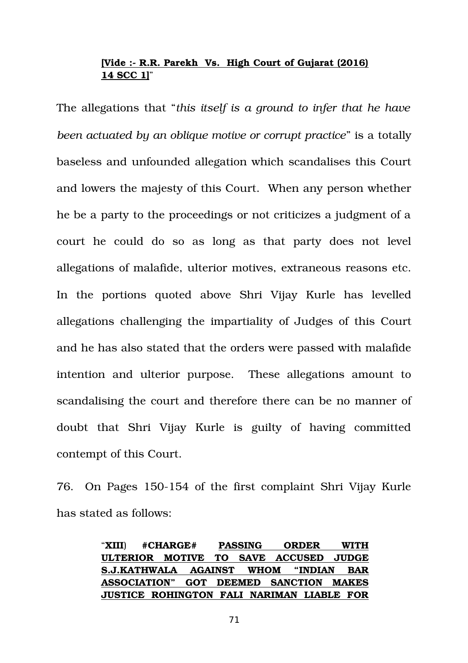# **[Vide : R.R. Parekh Vs. High Court of Gujarat (2016) 14 SCC 1]**"

The allegations that "*this itself is a ground to infer that he have been actuated by an oblique motive or corrupt practice*" is a totally baseless and unfounded allegation which scandalises this Court and lowers the majesty of this Court. When any person whether he be a party to the proceedings or not criticizes a judgment of a court he could do so as long as that party does not level allegations of malafide, ulterior motives, extraneous reasons etc. In the portions quoted above Shri Vijay Kurle has levelled allegations challenging the impartiality of Judges of this Court and he has also stated that the orders were passed with malafide intention and ulterior purpose. These allegations amount to scandalising the court and therefore there can be no manner of doubt that Shri Vijay Kurle is guilty of having committed contempt of this Court.

76. On Pages 150-154 of the first complaint Shri Vijay Kurle has stated as follows:

|                                                  | "XIII) $\#CHARGE#$ |  | <b>PASSING</b> |  | <b>ORDER</b> |  | <b>WITH</b> |  |
|--------------------------------------------------|--------------------|--|----------------|--|--------------|--|-------------|--|
| ULTERIOR MOTIVE TO SAVE ACCUSED JUDGE            |                    |  |                |  |              |  |             |  |
| S.J.KATHWALA AGAINST WHOM "INDIAN BAR            |                    |  |                |  |              |  |             |  |
| ASSOCIATION" GOT DEEMED SANCTION MAKES           |                    |  |                |  |              |  |             |  |
| <b>JUSTICE ROHINGTON FALI NARIMAN LIABLE FOR</b> |                    |  |                |  |              |  |             |  |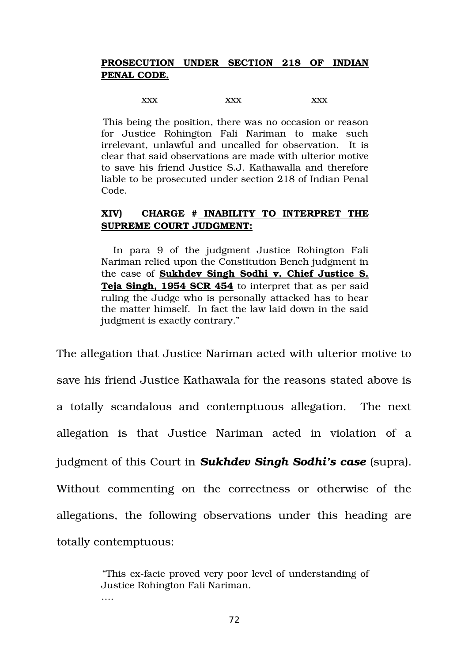# **PROSECUTION UNDER SECTION 218 OF INDIAN PENAL CODE.**

 $\bf XXX$   $\bf XXX$   $\bf XXX$ 

 This being the position, there was no occasion or reason for Justice Rohington Fali Nariman to make such irrelevant, unlawful and uncalled for observation. It is clear that said observations are made with ulterior motive to save his friend Justice S.J. Kathawalla and therefore liable to be prosecuted under section 218 of Indian Penal Code.

# **XIV) CHARGE # INABILITY TO INTERPRET THE SUPREME COURT JUDGMENT:**

In para 9 of the judgment Justice Rohington Fali Nariman relied upon the Constitution Bench judgment in the case of **Sukhdev Singh Sodhi v. Chief Justice S. Teja Singh, 1954 SCR 454** to interpret that as per said ruling the Judge who is personally attacked has to hear the matter himself. In fact the law laid down in the said judgment is exactly contrary."

The allegation that Justice Nariman acted with ulterior motive to save his friend Justice Kathawala for the reasons stated above is a totally scandalous and contemptuous allegation. The next allegation is that Justice Nariman acted in violation of a judgment of this Court in *Sukhdev Singh Sodhi's case* (supra). Without commenting on the correctness or otherwise of the allegations, the following observations under this heading are totally contemptuous:

> "This ex-facie proved very poor level of understanding of Justice Rohington Fali Nariman. ….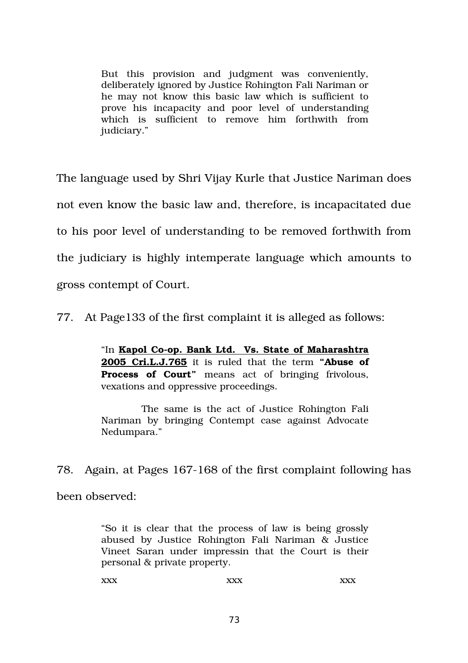But this provision and judgment was conveniently, deliberately ignored by Justice Rohington Fali Nariman or he may not know this basic law which is sufficient to prove his incapacity and poor level of understanding which is sufficient to remove him forthwith from judiciary."

The language used by Shri Vijay Kurle that Justice Nariman does not even know the basic law and, therefore, is incapacitated due to his poor level of understanding to be removed forthwith from the judiciary is highly intemperate language which amounts to gross contempt of Court.

77. At Page133 of the first complaint it is alleged as follows:

"In **Kapol Co-op. Bank Ltd. Vs. State of Maharashtra 2005 Cri.L.J.765** it is ruled that the term **"Abuse of Process of Court**" means act of bringing frivolous, vexations and oppressive proceedings.

The same is the act of Justice Rohington Fali Nariman by bringing Contempt case against Advocate Nedumpara."

78. Again, at Pages 167-168 of the first complaint following has been observed:

> "So it is clear that the process of law is being grossly abused by Justice Rohington Fali Nariman & Justice Vineet Saran under impressin that the Court is their personal & private property.

xxx xxx xxx xxx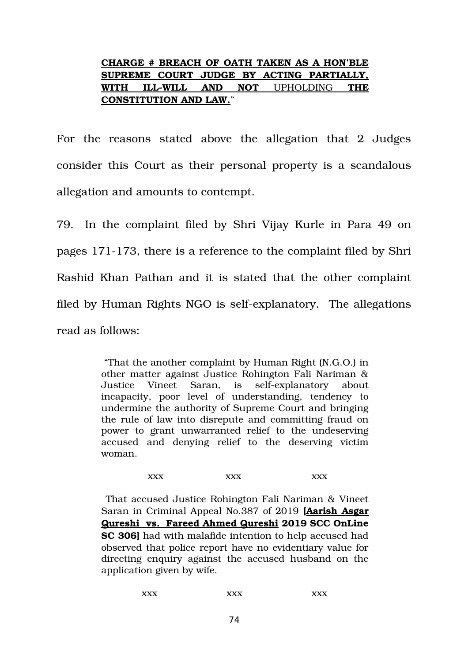# **CHARGE # BREACH OF OATH TAKEN AS A HON'BLE SUPREME COURT JUDGE BY ACTING PARTIALLY, WITH ILLWILL AND NOT**  UPHOLDING **THE CONSTITUTION AND LAW.**"

For the reasons stated above the allegation that 2 Judges consider this Court as their personal property is a scandalous allegation and amounts to contempt.

79. In the complaint filed by Shri Vijay Kurle in Para 49 on pages 171173, there is a reference to the complaint filed by Shri Rashid Khan Pathan and it is stated that the other complaint filed by Human Rights NGO is self-explanatory. The allegations read as follows:

> "That the another complaint by Human Right (N.G.O.) in other matter against Justice Rohington Fali Nariman & Justice Vineet Saran, is self-explanatory about incapacity, poor level of understanding, tendency to undermine the authority of Supreme Court and bringing the rule of law into disrepute and committing fraud on power to grant unwarranted relief to the undeserving accused and denying relief to the deserving victim woman.

> > $\bf XXX$   $\bf XXX$   $\bf XXX$

 That accused Justice Rohington Fali Nariman & Vineet Saran in Criminal Appeal No.387 of 2019 **[Aarish Asgar Qureshi vs. Fareed Ahmed Qureshi 2019 SCC OnLine SC 306]** had with malafide intention to help accused had observed that police report have no evidentiary value for directing enquiry against the accused husband on the application given by wife.

| <b>XXX</b> | <b>xxx</b><br>↗ | vvv<br>↗<br>$\Delta$ |
|------------|-----------------|----------------------|
|------------|-----------------|----------------------|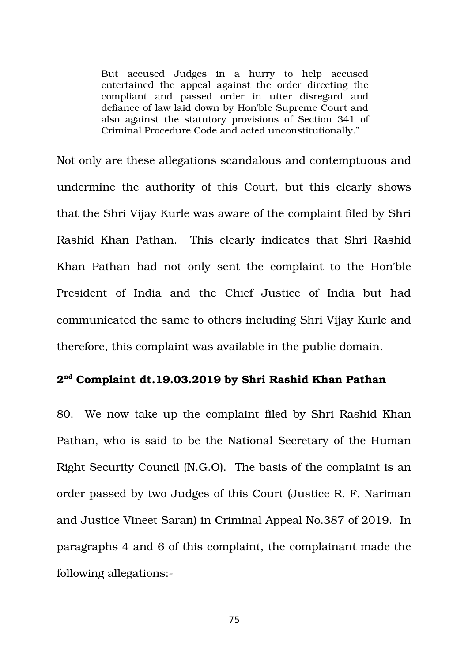But accused Judges in a hurry to help accused entertained the appeal against the order directing the compliant and passed order in utter disregard and defiance of law laid down by Hon'ble Supreme Court and also against the statutory provisions of Section 341 of Criminal Procedure Code and acted unconstitutionally."

Not only are these allegations scandalous and contemptuous and undermine the authority of this Court, but this clearly shows that the Shri Vijay Kurle was aware of the complaint filed by Shri Rashid Khan Pathan. This clearly indicates that Shri Rashid Khan Pathan had not only sent the complaint to the Hon'ble President of India and the Chief Justice of India but had communicated the same to others including Shri Vijay Kurle and therefore, this complaint was available in the public domain.

# **2 nd Complaint dt.19.03.2019 by Shri Rashid Khan Pathan**

80. We now take up the complaint filed by Shri Rashid Khan Pathan, who is said to be the National Secretary of the Human Right Security Council (N.G.O). The basis of the complaint is an order passed by two Judges of this Court (Justice R. F. Nariman and Justice Vineet Saran) in Criminal Appeal No.387 of 2019. In paragraphs 4 and 6 of this complaint, the complainant made the following allegations: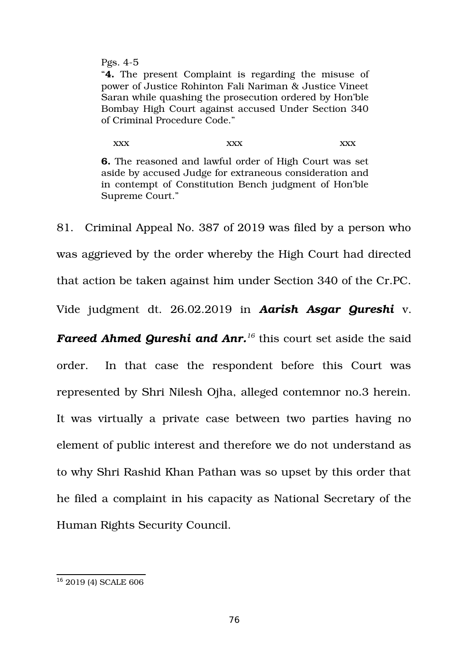Pgs.  $4-5$ 

"**4.** The present Complaint is regarding the misuse of power of Justice Rohinton Fali Nariman & Justice Vineet Saran while quashing the prosecution ordered by Hon'ble Bombay High Court against accused Under Section 340 of Criminal Procedure Code."

xxx xxx xxx xxx **6.** The reasoned and lawful order of High Court was set aside by accused Judge for extraneous consideration and in contempt of Constitution Bench judgment of Hon'ble Supreme Court."

81. Criminal Appeal No. 387 of 2019 was filed by a person who was aggrieved by the order whereby the High Court had directed that action be taken against him under Section 340 of the Cr.PC. Vide judgment dt. 26.02.2019 in *Aarish Asgar Qureshi* v.

*Fareed Ahmed Qureshi and Anr.[16](#page-75-0)* this court set aside the said order. In that case the respondent before this Court was represented by Shri Nilesh Ojha, alleged contemnor no.3 herein. It was virtually a private case between two parties having no element of public interest and therefore we do not understand as to why Shri Rashid Khan Pathan was so upset by this order that he filed a complaint in his capacity as National Secretary of the Human Rights Security Council.

<span id="page-75-0"></span><sup>&</sup>lt;sup>16</sup> 2019 (4) SCALE 606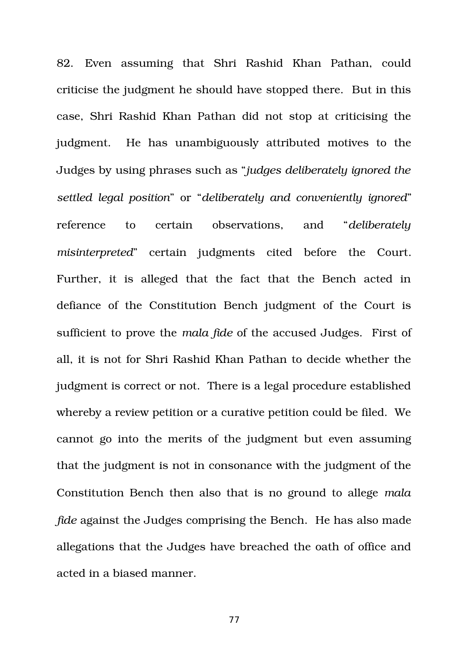82. Even assuming that Shri Rashid Khan Pathan, could criticise the judgment he should have stopped there. But in this case, Shri Rashid Khan Pathan did not stop at criticising the judgment. He has unambiguously attributed motives to the Judges by using phrases such as "*judges deliberately ignored the settled legal position*" or "*deliberately and conveniently ignored*" reference to certain observations, and "*deliberately* misinterpreted" certain judgments cited before the Court. Further, it is alleged that the fact that the Bench acted in defiance of the Constitution Bench judgment of the Court is sufficient to prove the *mala fide* of the accused Judges. First of all, it is not for Shri Rashid Khan Pathan to decide whether the judgment is correct or not. There is a legal procedure established whereby a review petition or a curative petition could be filed. We cannot go into the merits of the judgment but even assuming that the judgment is not in consonance with the judgment of the Constitution Bench then also that is no ground to allege *mala fide* against the Judges comprising the Bench. He has also made allegations that the Judges have breached the oath of office and acted in a biased manner.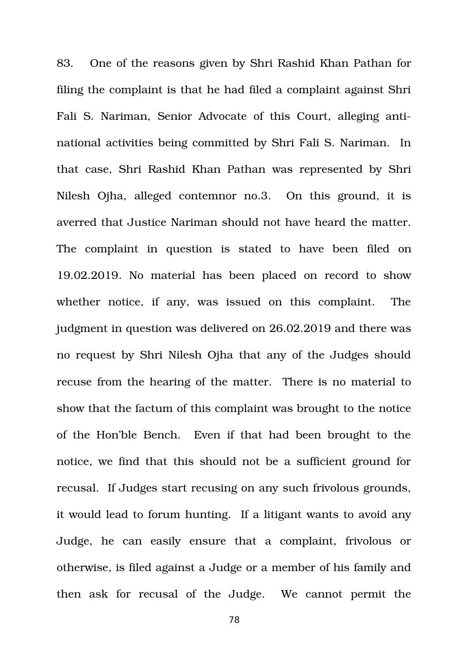83. One of the reasons given by Shri Rashid Khan Pathan for filing the complaint is that he had filed a complaint against Shri Fali S. Nariman, Senior Advocate of this Court, alleging antinational activities being committed by Shri Fali S. Nariman. In that case, Shri Rashid Khan Pathan was represented by Shri Nilesh Ojha, alleged contemnor no.3. On this ground, it is averred that Justice Nariman should not have heard the matter. The complaint in question is stated to have been filed on 19.02.2019. No material has been placed on record to show whether notice, if any, was issued on this complaint. The judgment in question was delivered on 26.02.2019 and there was no request by Shri Nilesh Ojha that any of the Judges should recuse from the hearing of the matter. There is no material to show that the factum of this complaint was brought to the notice of the Hon'ble Bench. Even if that had been brought to the notice, we find that this should not be a sufficient ground for recusal. If Judges start recusing on any such frivolous grounds, it would lead to forum hunting. If a litigant wants to avoid any Judge, he can easily ensure that a complaint, frivolous or otherwise, is filed against a Judge or a member of his family and then ask for recusal of the Judge. We cannot permit the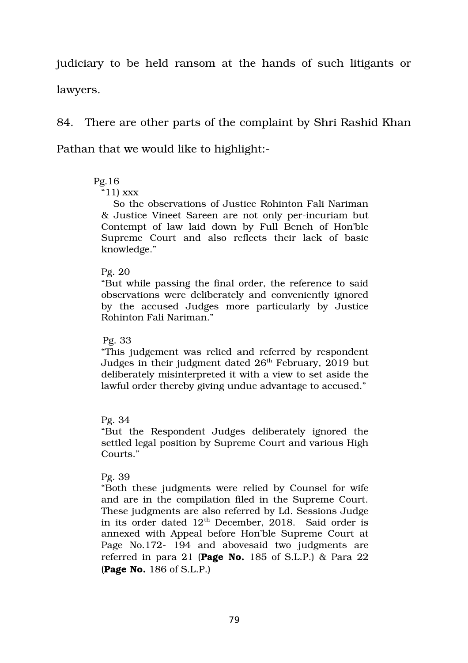judiciary to be held ransom at the hands of such litigants or lawyers.

84. There are other parts of the complaint by Shri Rashid Khan Pathan that we would like to highlight:

## Pg.16

## "11) xxx

So the observations of Justice Rohinton Fali Nariman & Justice Vineet Sareen are not only perincuriam but Contempt of law laid down by Full Bench of Hon'ble Supreme Court and also reflects their lack of basic knowledge."

## Pg. 20

"But while passing the final order, the reference to said observations were deliberately and conveniently ignored by the accused Judges more particularly by Justice Rohinton Fali Nariman."

## Pg. 33

"This judgement was relied and referred by respondent Judges in their judgment dated 26<sup>th</sup> February, 2019 but deliberately misinterpreted it with a view to set aside the lawful order thereby giving undue advantage to accused."

## Pg. 34

"But the Respondent Judges deliberately ignored the settled legal position by Supreme Court and various High Courts."

# Pg. 39

"Both these judgments were relied by Counsel for wife and are in the compilation filed in the Supreme Court. These judgments are also referred by Ld. Sessions Judge in its order dated  $12<sup>th</sup>$  December, 2018. Said order is annexed with Appeal before Hon'ble Supreme Court at Page No.172- 194 and abovesaid two judgments are referred in para 21 (**Page No.** 185 of S.L.P.) & Para 22 (**Page No.** 186 of S.L.P.)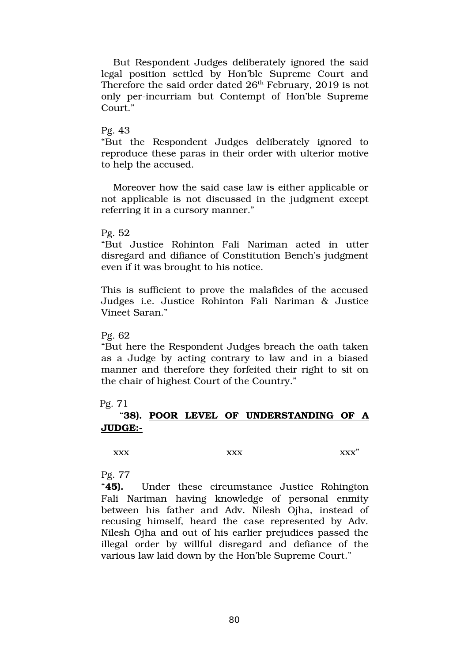But Respondent Judges deliberately ignored the said legal position settled by Hon'ble Supreme Court and Therefore the said order dated  $26<sup>th</sup>$  February, 2019 is not only per-incurriam but Contempt of Hon'ble Supreme Court."

#### Pg. 43

"But the Respondent Judges deliberately ignored to reproduce these paras in their order with ulterior motive to help the accused.

Moreover how the said case law is either applicable or not applicable is not discussed in the judgment except referring it in a cursory manner."

#### Pg. 52

"But Justice Rohinton Fali Nariman acted in utter disregard and difiance of Constitution Bench's judgment even if it was brought to his notice.

This is sufficient to prove the malafides of the accused Judges i.e. Justice Rohinton Fali Nariman & Justice Vineet Saran."

#### Pg. 62

"But here the Respondent Judges breach the oath taken as a Judge by acting contrary to law and in a biased manner and therefore they forfeited their right to sit on the chair of highest Court of the Country."

### Pg. 71

## "**38). POOR LEVEL OF UNDERSTANDING OF A JUDGE:**

xxx xxx xxx"

### Pg. 77

"**45).** Under these circumstance Justice Rohington Fali Nariman having knowledge of personal enmity between his father and Adv. Nilesh Ojha, instead of recusing himself, heard the case represented by Adv. Nilesh Ojha and out of his earlier prejudices passed the illegal order by willful disregard and defiance of the various law laid down by the Hon'ble Supreme Court."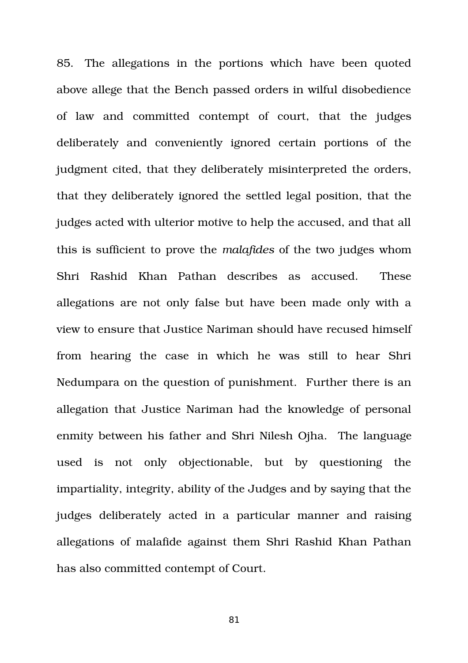85. The allegations in the portions which have been quoted above allege that the Bench passed orders in wilful disobedience of law and committed contempt of court, that the iudges deliberately and conveniently ignored certain portions of the judgment cited, that they deliberately misinterpreted the orders, that they deliberately ignored the settled legal position, that the judges acted with ulterior motive to help the accused, and that all this is sufficient to prove the *malafides* of the two judges whom Shri Rashid Khan Pathan describes as accused. These allegations are not only false but have been made only with a view to ensure that Justice Nariman should have recused himself from hearing the case in which he was still to hear Shri Nedumpara on the question of punishment. Further there is an allegation that Justice Nariman had the knowledge of personal enmity between his father and Shri Nilesh Ojha. The language used is not only objectionable, but by questioning the impartiality, integrity, ability of the Judges and by saying that the judges deliberately acted in a particular manner and raising allegations of malafide against them Shri Rashid Khan Pathan has also committed contempt of Court.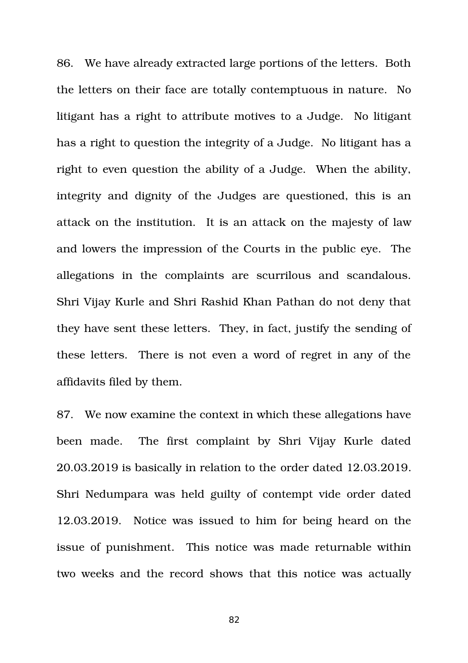86. We have already extracted large portions of the letters. Both the letters on their face are totally contemptuous in nature. No litigant has a right to attribute motives to a Judge. No litigant has a right to question the integrity of a Judge. No litigant has a right to even question the ability of a Judge. When the ability, integrity and dignity of the Judges are questioned, this is an attack on the institution. It is an attack on the majesty of law and lowers the impression of the Courts in the public eye. The allegations in the complaints are scurrilous and scandalous. Shri Vijay Kurle and Shri Rashid Khan Pathan do not deny that they have sent these letters. They, in fact, justify the sending of these letters. There is not even a word of regret in any of the affidavits filed by them.

87. We now examine the context in which these allegations have been made. The first complaint by Shri Vijay Kurle dated 20.03.2019 is basically in relation to the order dated 12.03.2019. Shri Nedumpara was held guilty of contempt vide order dated 12.03.2019. Notice was issued to him for being heard on the issue of punishment. This notice was made returnable within two weeks and the record shows that this notice was actually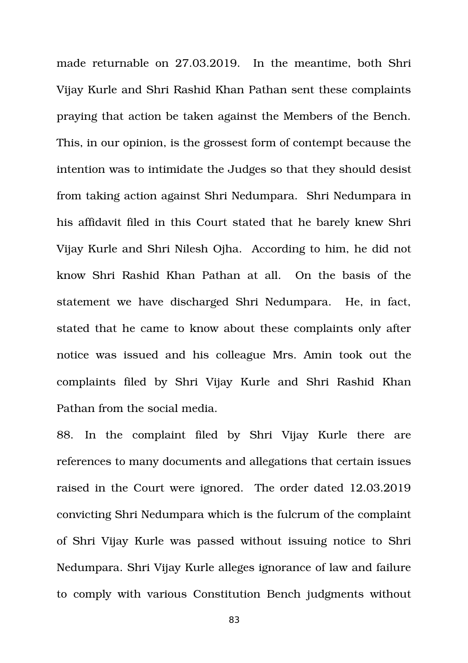made returnable on 27.03.2019. In the meantime, both Shri Vijay Kurle and Shri Rashid Khan Pathan sent these complaints praying that action be taken against the Members of the Bench. This, in our opinion, is the grossest form of contempt because the intention was to intimidate the Judges so that they should desist from taking action against Shri Nedumpara. Shri Nedumpara in his affidavit filed in this Court stated that he barely knew Shri Vijay Kurle and Shri Nilesh Ojha. According to him, he did not know Shri Rashid Khan Pathan at all. On the basis of the statement we have discharged Shri Nedumpara. He, in fact, stated that he came to know about these complaints only after notice was issued and his colleague Mrs. Amin took out the complaints filed by Shri Vijay Kurle and Shri Rashid Khan Pathan from the social media.

88. In the complaint filed by Shri Vijay Kurle there are references to many documents and allegations that certain issues raised in the Court were ignored. The order dated 12.03.2019 convicting Shri Nedumpara which is the fulcrum of the complaint of Shri Vijay Kurle was passed without issuing notice to Shri Nedumpara. Shri Vijay Kurle alleges ignorance of law and failure to comply with various Constitution Bench judgments without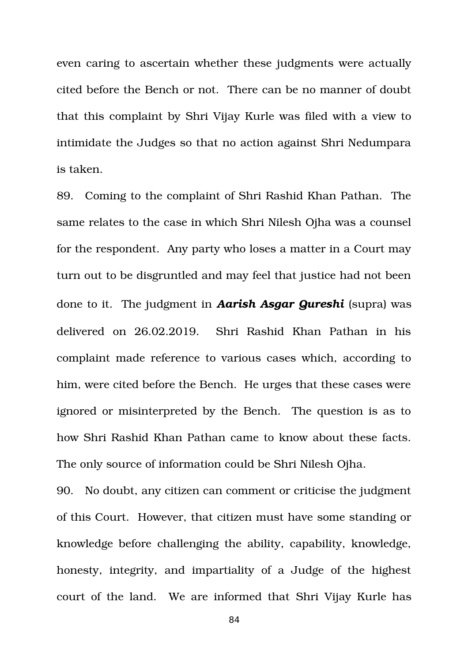even caring to ascertain whether these judgments were actually cited before the Bench or not. There can be no manner of doubt that this complaint by Shri Vijay Kurle was filed with a view to intimidate the Judges so that no action against Shri Nedumpara is taken.

89. Coming to the complaint of Shri Rashid Khan Pathan. The same relates to the case in which Shri Nilesh Ojha was a counsel for the respondent. Any party who loses a matter in a Court may turn out to be disgruntled and may feel that justice had not been done to it. The judgment in *Aarish Asgar Qureshi* (supra) was delivered on 26.02.2019. Shri Rashid Khan Pathan in his complaint made reference to various cases which, according to him, were cited before the Bench. He urges that these cases were ignored or misinterpreted by the Bench. The question is as to how Shri Rashid Khan Pathan came to know about these facts. The only source of information could be Shri Nilesh Ojha.

90. No doubt, any citizen can comment or criticise the judgment of this Court. However, that citizen must have some standing or knowledge before challenging the ability, capability, knowledge, honesty, integrity, and impartiality of a Judge of the highest court of the land. We are informed that Shri Vijay Kurle has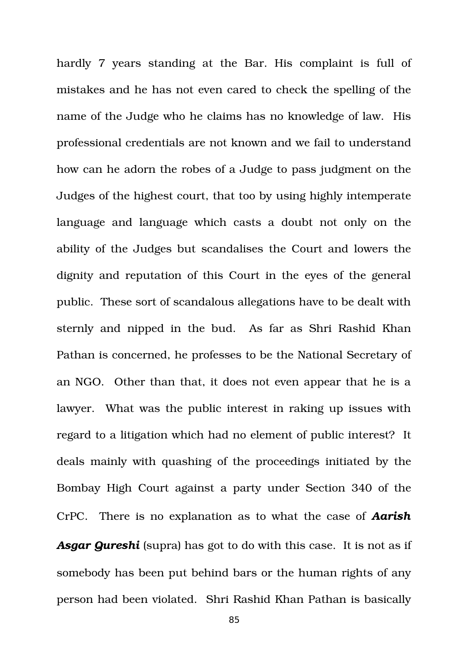hardly 7 years standing at the Bar. His complaint is full of mistakes and he has not even cared to check the spelling of the name of the Judge who he claims has no knowledge of law. His professional credentials are not known and we fail to understand how can he adorn the robes of a Judge to pass judgment on the Judges of the highest court, that too by using highly intemperate language and language which casts a doubt not only on the ability of the Judges but scandalises the Court and lowers the dignity and reputation of this Court in the eyes of the general public. These sort of scandalous allegations have to be dealt with sternly and nipped in the bud. As far as Shri Rashid Khan Pathan is concerned, he professes to be the National Secretary of an NGO. Other than that, it does not even appear that he is a lawyer. What was the public interest in raking up issues with regard to a litigation which had no element of public interest? It deals mainly with quashing of the proceedings initiated by the Bombay High Court against a party under Section 340 of the CrPC. There is no explanation as to what the case of *Aarish Asgar Qureshi* (supra) has got to do with this case. It is not as if somebody has been put behind bars or the human rights of any person had been violated. Shri Rashid Khan Pathan is basically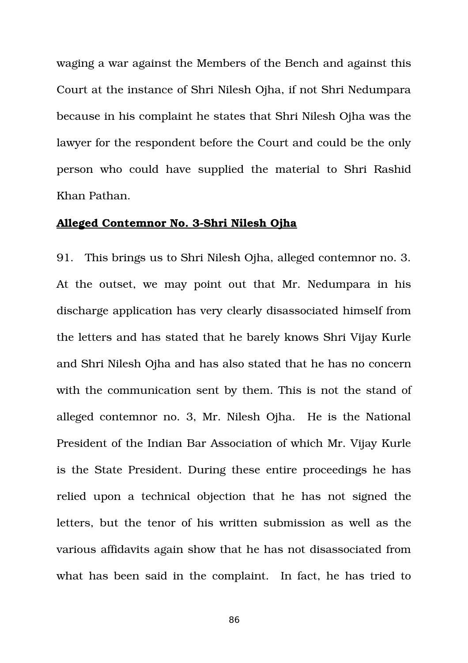waging a war against the Members of the Bench and against this Court at the instance of Shri Nilesh Ojha, if not Shri Nedumpara because in his complaint he states that Shri Nilesh Ojha was the lawyer for the respondent before the Court and could be the only person who could have supplied the material to Shri Rashid Khan Pathan.

## **Alleged Contemnor No. 3Shri Nilesh Ojha**

91. This brings us to Shri Nilesh Ojha, alleged contemnor no. 3. At the outset, we may point out that Mr. Nedumpara in his discharge application has very clearly disassociated himself from the letters and has stated that he barely knows Shri Vijay Kurle and Shri Nilesh Ojha and has also stated that he has no concern with the communication sent by them. This is not the stand of alleged contemnor no. 3, Mr. Nilesh Ojha. He is the National President of the Indian Bar Association of which Mr. Vijay Kurle is the State President. During these entire proceedings he has relied upon a technical objection that he has not signed the letters, but the tenor of his written submission as well as the various affidavits again show that he has not disassociated from what has been said in the complaint. In fact, he has tried to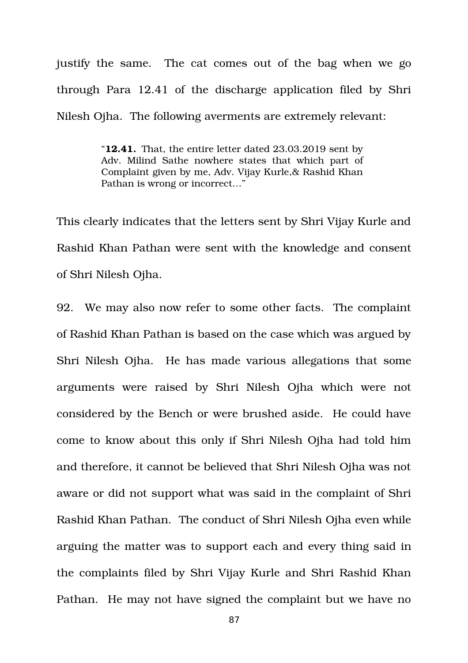justify the same. The cat comes out of the bag when we go through Para 12.41 of the discharge application filed by Shri Nilesh Oiha. The following averments are extremely relevant:

> "**12.41.** That, the entire letter dated 23.03.2019 sent by Adv. Milind Sathe nowhere states that which part of Complaint given by me, Adv. Vijay Kurle,& Rashid Khan Pathan is wrong or incorrect…"

This clearly indicates that the letters sent by Shri Vijay Kurle and Rashid Khan Pathan were sent with the knowledge and consent of Shri Nilesh Ojha.

92. We may also now refer to some other facts. The complaint of Rashid Khan Pathan is based on the case which was argued by Shri Nilesh Ojha. He has made various allegations that some arguments were raised by Shri Nilesh Ojha which were not considered by the Bench or were brushed aside. He could have come to know about this only if Shri Nilesh Ojha had told him and therefore, it cannot be believed that Shri Nilesh Ojha was not aware or did not support what was said in the complaint of Shri Rashid Khan Pathan. The conduct of Shri Nilesh Ojha even while arguing the matter was to support each and every thing said in the complaints filed by Shri Vijay Kurle and Shri Rashid Khan Pathan. He may not have signed the complaint but we have no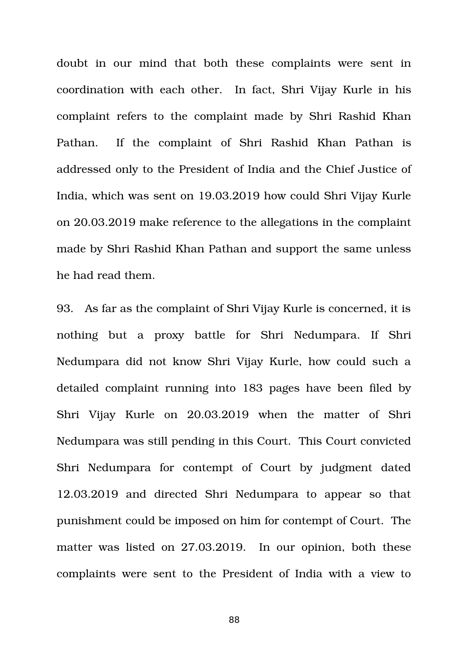doubt in our mind that both these complaints were sent in coordination with each other. In fact, Shri Vijay Kurle in his complaint refers to the complaint made by Shri Rashid Khan Pathan. If the complaint of Shri Rashid Khan Pathan is addressed only to the President of India and the Chief Justice of India, which was sent on 19.03.2019 how could Shri Vijay Kurle on 20.03.2019 make reference to the allegations in the complaint made by Shri Rashid Khan Pathan and support the same unless he had read them.

93. As far as the complaint of Shri Vijay Kurle is concerned, it is nothing but a proxy battle for Shri Nedumpara. If Shri Nedumpara did not know Shri Vijay Kurle, how could such a detailed complaint running into 183 pages have been filed by Shri Vijay Kurle on 20.03.2019 when the matter of Shri Nedumpara was still pending in this Court. This Court convicted Shri Nedumpara for contempt of Court by judgment dated 12.03.2019 and directed Shri Nedumpara to appear so that punishment could be imposed on him for contempt of Court. The matter was listed on 27.03.2019. In our opinion, both these complaints were sent to the President of India with a view to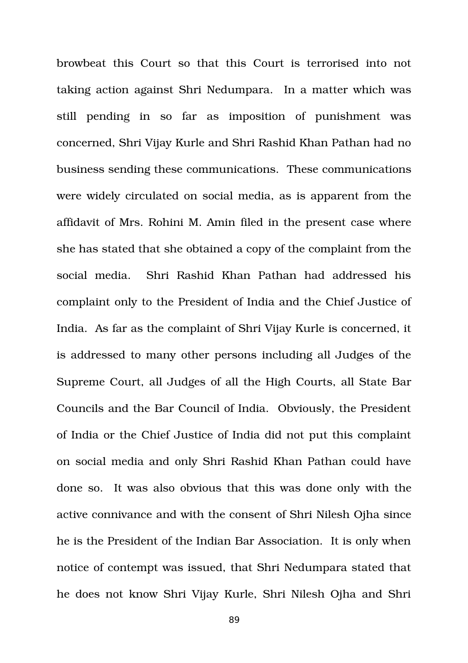browbeat this Court so that this Court is terrorised into not taking action against Shri Nedumpara. In a matter which was still pending in so far as imposition of punishment was concerned, Shri Vijay Kurle and Shri Rashid Khan Pathan had no business sending these communications. These communications were widely circulated on social media, as is apparent from the affidavit of Mrs. Rohini M. Amin filed in the present case where she has stated that she obtained a copy of the complaint from the social media. Shri Rashid Khan Pathan had addressed his complaint only to the President of India and the Chief Justice of India. As far as the complaint of Shri Vijay Kurle is concerned, it is addressed to many other persons including all Judges of the Supreme Court, all Judges of all the High Courts, all State Bar Councils and the Bar Council of India. Obviously, the President of India or the Chief Justice of India did not put this complaint on social media and only Shri Rashid Khan Pathan could have done so. It was also obvious that this was done only with the active connivance and with the consent of Shri Nilesh Ojha since he is the President of the Indian Bar Association. It is only when notice of contempt was issued, that Shri Nedumpara stated that he does not know Shri Vijay Kurle, Shri Nilesh Ojha and Shri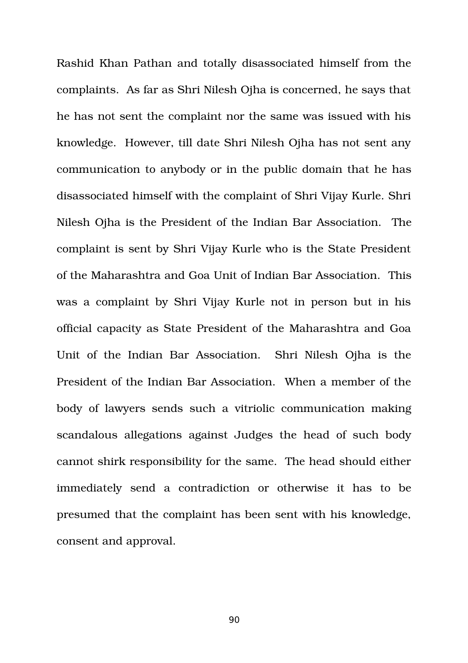Rashid Khan Pathan and totally disassociated himself from the complaints. As far as Shri Nilesh Ojha is concerned, he says that he has not sent the complaint nor the same was issued with his knowledge. However, till date Shri Nilesh Ojha has not sent any communication to anybody or in the public domain that he has disassociated himself with the complaint of Shri Vijay Kurle. Shri Nilesh Ojha is the President of the Indian Bar Association. The complaint is sent by Shri Vijay Kurle who is the State President of the Maharashtra and Goa Unit of Indian Bar Association. This was a complaint by Shri Vijay Kurle not in person but in his official capacity as State President of the Maharashtra and Goa Unit of the Indian Bar Association. Shri Nilesh Ojha is the President of the Indian Bar Association. When a member of the body of lawyers sends such a vitriolic communication making scandalous allegations against Judges the head of such body cannot shirk responsibility for the same. The head should either immediately send a contradiction or otherwise it has to be presumed that the complaint has been sent with his knowledge, consent and approval.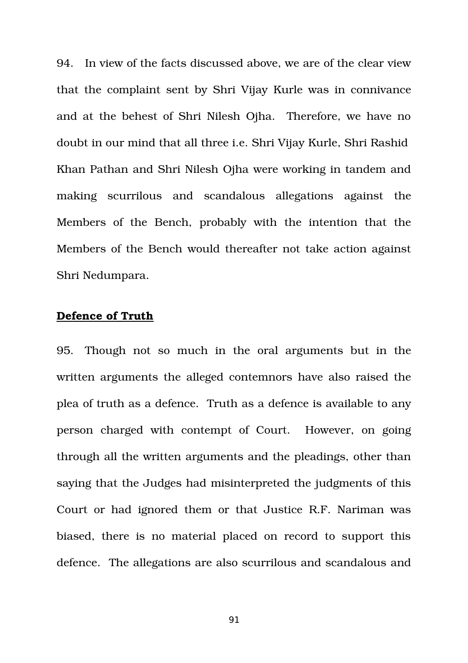94. In view of the facts discussed above, we are of the clear view that the complaint sent by Shri Vijay Kurle was in connivance and at the behest of Shri Nilesh Ojha. Therefore, we have no doubt in our mind that all three i.e. Shri Vijay Kurle, Shri Rashid Khan Pathan and Shri Nilesh Oiha were working in tandem and making scurrilous and scandalous allegations against the Members of the Bench, probably with the intention that the Members of the Bench would thereafter not take action against Shri Nedumpara.

## **Defence of Truth**

95. Though not so much in the oral arguments but in the written arguments the alleged contemnors have also raised the plea of truth as a defence. Truth as a defence is available to any person charged with contempt of Court. However, on going through all the written arguments and the pleadings, other than saying that the Judges had misinterpreted the judgments of this Court or had ignored them or that Justice R.F. Nariman was biased, there is no material placed on record to support this defence. The allegations are also scurrilous and scandalous and